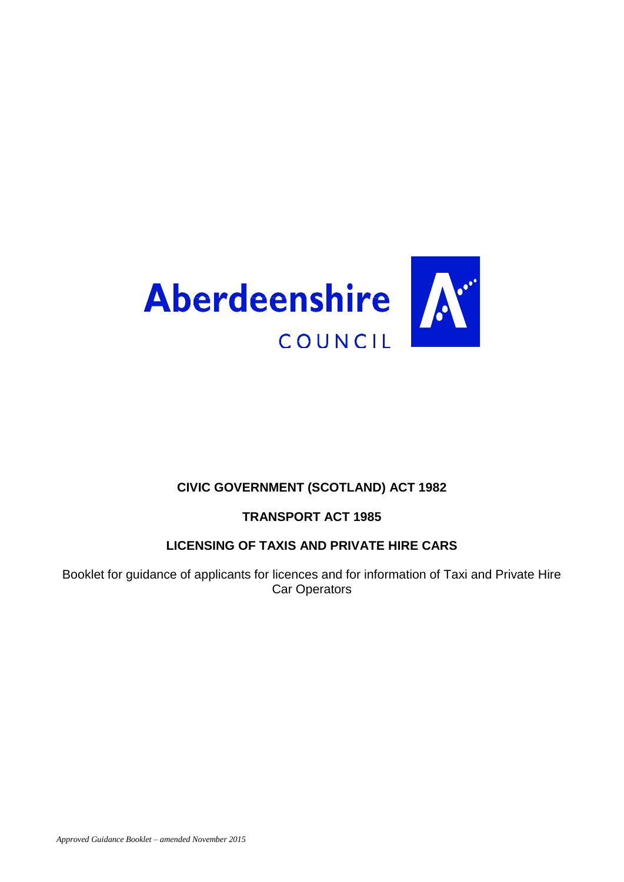

# **CIVIC GOVERNMENT (SCOTLAND) ACT 1982**

# **TRANSPORT ACT 1985**

# **LICENSING OF TAXIS AND PRIVATE HIRE CARS**

Booklet for guidance of applicants for licences and for information of Taxi and Private Hire Car Operators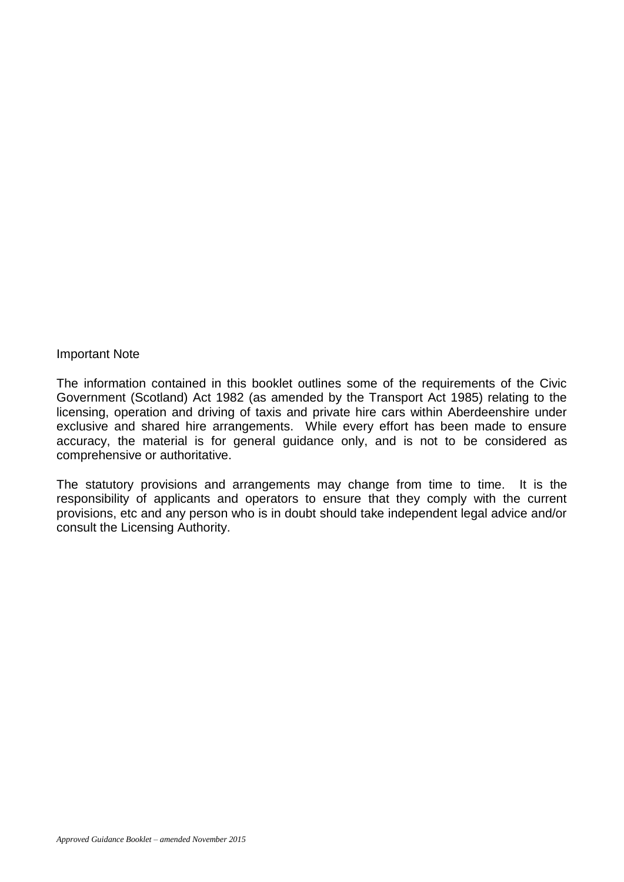#### Important Note

The information contained in this booklet outlines some of the requirements of the Civic Government (Scotland) Act 1982 (as amended by the Transport Act 1985) relating to the licensing, operation and driving of taxis and private hire cars within Aberdeenshire under exclusive and shared hire arrangements. While every effort has been made to ensure accuracy, the material is for general guidance only, and is not to be considered as comprehensive or authoritative.

The statutory provisions and arrangements may change from time to time. It is the responsibility of applicants and operators to ensure that they comply with the current provisions, etc and any person who is in doubt should take independent legal advice and/or consult the Licensing Authority.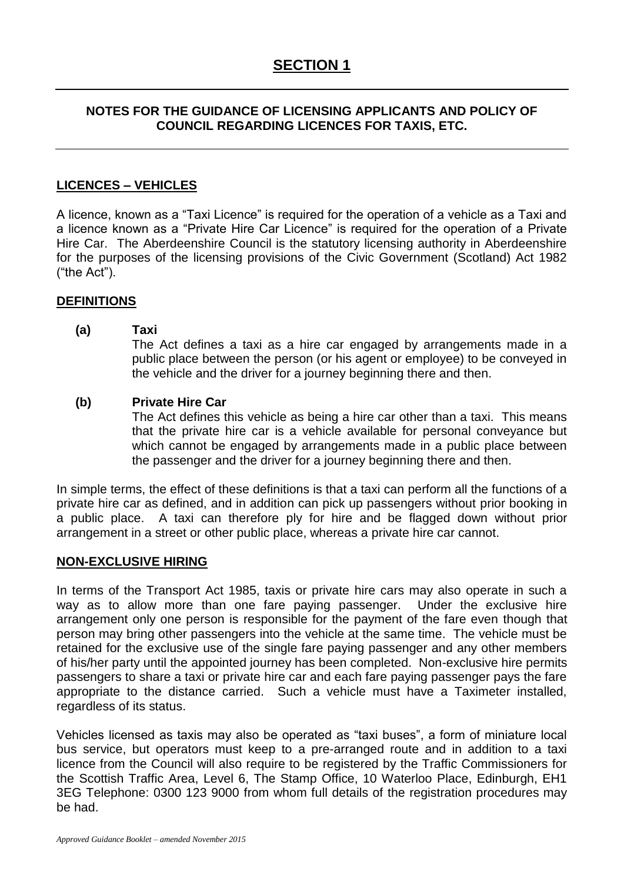# **NOTES FOR THE GUIDANCE OF LICENSING APPLICANTS AND POLICY OF COUNCIL REGARDING LICENCES FOR TAXIS, ETC.**

# **LICENCES – VEHICLES**

A licence, known as a "Taxi Licence" is required for the operation of a vehicle as a Taxi and a licence known as a "Private Hire Car Licence" is required for the operation of a Private Hire Car. The Aberdeenshire Council is the statutory licensing authority in Aberdeenshire for the purposes of the licensing provisions of the Civic Government (Scotland) Act 1982 ("the Act").

## **DEFINITIONS**

#### **(a) Taxi**

The Act defines a taxi as a hire car engaged by arrangements made in a public place between the person (or his agent or employee) to be conveyed in the vehicle and the driver for a journey beginning there and then.

#### **(b) Private Hire Car**

The Act defines this vehicle as being a hire car other than a taxi. This means that the private hire car is a vehicle available for personal conveyance but which cannot be engaged by arrangements made in a public place between the passenger and the driver for a journey beginning there and then.

In simple terms, the effect of these definitions is that a taxi can perform all the functions of a private hire car as defined, and in addition can pick up passengers without prior booking in a public place. A taxi can therefore ply for hire and be flagged down without prior arrangement in a street or other public place, whereas a private hire car cannot.

## **NON-EXCLUSIVE HIRING**

In terms of the Transport Act 1985, taxis or private hire cars may also operate in such a way as to allow more than one fare paying passenger. Under the exclusive hire arrangement only one person is responsible for the payment of the fare even though that person may bring other passengers into the vehicle at the same time. The vehicle must be retained for the exclusive use of the single fare paying passenger and any other members of his/her party until the appointed journey has been completed. Non-exclusive hire permits passengers to share a taxi or private hire car and each fare paying passenger pays the fare appropriate to the distance carried. Such a vehicle must have a Taximeter installed, regardless of its status.

Vehicles licensed as taxis may also be operated as "taxi buses", a form of miniature local bus service, but operators must keep to a pre-arranged route and in addition to a taxi licence from the Council will also require to be registered by the Traffic Commissioners for the Scottish Traffic Area, Level 6, The Stamp Office, 10 Waterloo Place, Edinburgh, EH1 3EG Telephone: 0300 123 9000 from whom full details of the registration procedures may be had.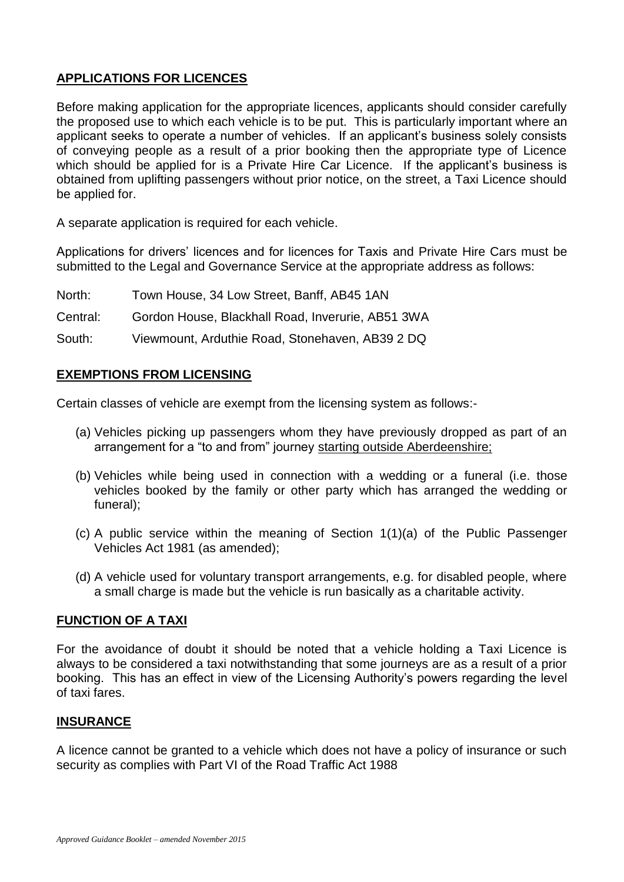# **APPLICATIONS FOR LICENCES**

Before making application for the appropriate licences, applicants should consider carefully the proposed use to which each vehicle is to be put. This is particularly important where an applicant seeks to operate a number of vehicles. If an applicant's business solely consists of conveying people as a result of a prior booking then the appropriate type of Licence which should be applied for is a Private Hire Car Licence. If the applicant's business is obtained from uplifting passengers without prior notice, on the street, a Taxi Licence should be applied for.

A separate application is required for each vehicle.

Applications for drivers' licences and for licences for Taxis and Private Hire Cars must be submitted to the Legal and Governance Service at the appropriate address as follows:

- North: Town House, 34 Low Street, Banff, AB45 1AN
- Central: Gordon House, Blackhall Road, Inverurie, AB51 3WA

South: Viewmount, Arduthie Road, Stonehaven, AB39 2 DQ

#### **EXEMPTIONS FROM LICENSING**

Certain classes of vehicle are exempt from the licensing system as follows:-

- (a) Vehicles picking up passengers whom they have previously dropped as part of an arrangement for a "to and from" journey starting outside Aberdeenshire;
- (b) Vehicles while being used in connection with a wedding or a funeral (i.e. those vehicles booked by the family or other party which has arranged the wedding or funeral);
- (c) A public service within the meaning of Section 1(1)(a) of the Public Passenger Vehicles Act 1981 (as amended);
- (d) A vehicle used for voluntary transport arrangements, e.g. for disabled people, where a small charge is made but the vehicle is run basically as a charitable activity.

## **FUNCTION OF A TAXI**

For the avoidance of doubt it should be noted that a vehicle holding a Taxi Licence is always to be considered a taxi notwithstanding that some journeys are as a result of a prior booking. This has an effect in view of the Licensing Authority's powers regarding the level of taxi fares.

## **INSURANCE**

A licence cannot be granted to a vehicle which does not have a policy of insurance or such security as complies with Part VI of the Road Traffic Act 1988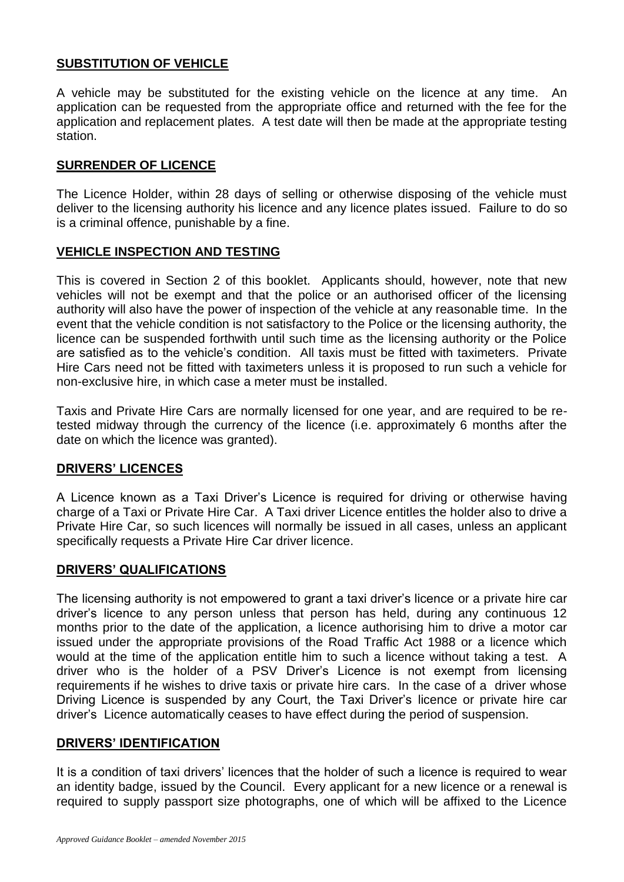# **SUBSTITUTION OF VEHICLE**

A vehicle may be substituted for the existing vehicle on the licence at any time. An application can be requested from the appropriate office and returned with the fee for the application and replacement plates. A test date will then be made at the appropriate testing station.

## **SURRENDER OF LICENCE**

The Licence Holder, within 28 days of selling or otherwise disposing of the vehicle must deliver to the licensing authority his licence and any licence plates issued. Failure to do so is a criminal offence, punishable by a fine.

## **VEHICLE INSPECTION AND TESTING**

This is covered in Section 2 of this booklet. Applicants should, however, note that new vehicles will not be exempt and that the police or an authorised officer of the licensing authority will also have the power of inspection of the vehicle at any reasonable time. In the event that the vehicle condition is not satisfactory to the Police or the licensing authority, the licence can be suspended forthwith until such time as the licensing authority or the Police are satisfied as to the vehicle's condition. All taxis must be fitted with taximeters. Private Hire Cars need not be fitted with taximeters unless it is proposed to run such a vehicle for non-exclusive hire, in which case a meter must be installed.

Taxis and Private Hire Cars are normally licensed for one year, and are required to be retested midway through the currency of the licence (i.e. approximately 6 months after the date on which the licence was granted).

## **DRIVERS' LICENCES**

A Licence known as a Taxi Driver's Licence is required for driving or otherwise having charge of a Taxi or Private Hire Car. A Taxi driver Licence entitles the holder also to drive a Private Hire Car, so such licences will normally be issued in all cases, unless an applicant specifically requests a Private Hire Car driver licence.

#### **DRIVERS' QUALIFICATIONS**

The licensing authority is not empowered to grant a taxi driver's licence or a private hire car driver's licence to any person unless that person has held, during any continuous 12 months prior to the date of the application, a licence authorising him to drive a motor car issued under the appropriate provisions of the Road Traffic Act 1988 or a licence which would at the time of the application entitle him to such a licence without taking a test. A driver who is the holder of a PSV Driver's Licence is not exempt from licensing requirements if he wishes to drive taxis or private hire cars. In the case of a driver whose Driving Licence is suspended by any Court, the Taxi Driver's licence or private hire car driver's Licence automatically ceases to have effect during the period of suspension.

#### **DRIVERS' IDENTIFICATION**

It is a condition of taxi drivers' licences that the holder of such a licence is required to wear an identity badge, issued by the Council. Every applicant for a new licence or a renewal is required to supply passport size photographs, one of which will be affixed to the Licence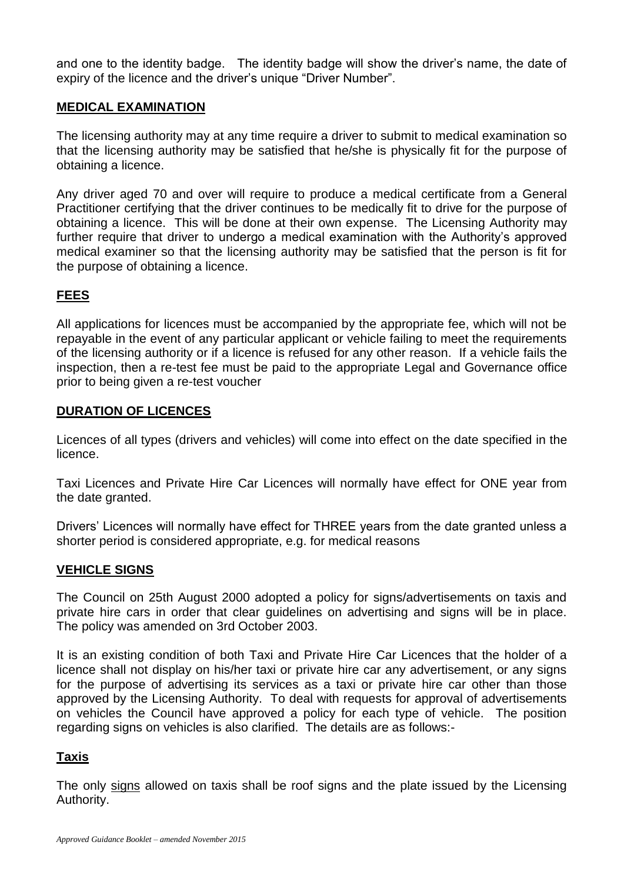and one to the identity badge. The identity badge will show the driver's name, the date of expiry of the licence and the driver's unique "Driver Number".

## **MEDICAL EXAMINATION**

The licensing authority may at any time require a driver to submit to medical examination so that the licensing authority may be satisfied that he/she is physically fit for the purpose of obtaining a licence.

Any driver aged 70 and over will require to produce a medical certificate from a General Practitioner certifying that the driver continues to be medically fit to drive for the purpose of obtaining a licence. This will be done at their own expense. The Licensing Authority may further require that driver to undergo a medical examination with the Authority's approved medical examiner so that the licensing authority may be satisfied that the person is fit for the purpose of obtaining a licence.

# **FEES**

All applications for licences must be accompanied by the appropriate fee, which will not be repayable in the event of any particular applicant or vehicle failing to meet the requirements of the licensing authority or if a licence is refused for any other reason. If a vehicle fails the inspection, then a re-test fee must be paid to the appropriate Legal and Governance office prior to being given a re-test voucher

# **DURATION OF LICENCES**

Licences of all types (drivers and vehicles) will come into effect on the date specified in the licence.

Taxi Licences and Private Hire Car Licences will normally have effect for ONE year from the date granted.

Drivers' Licences will normally have effect for THREE years from the date granted unless a shorter period is considered appropriate, e.g. for medical reasons

# **VEHICLE SIGNS**

The Council on 25th August 2000 adopted a policy for signs/advertisements on taxis and private hire cars in order that clear guidelines on advertising and signs will be in place. The policy was amended on 3rd October 2003.

It is an existing condition of both Taxi and Private Hire Car Licences that the holder of a licence shall not display on his/her taxi or private hire car any advertisement, or any signs for the purpose of advertising its services as a taxi or private hire car other than those approved by the Licensing Authority. To deal with requests for approval of advertisements on vehicles the Council have approved a policy for each type of vehicle. The position regarding signs on vehicles is also clarified. The details are as follows:-

# **Taxis**

The only signs allowed on taxis shall be roof signs and the plate issued by the Licensing Authority.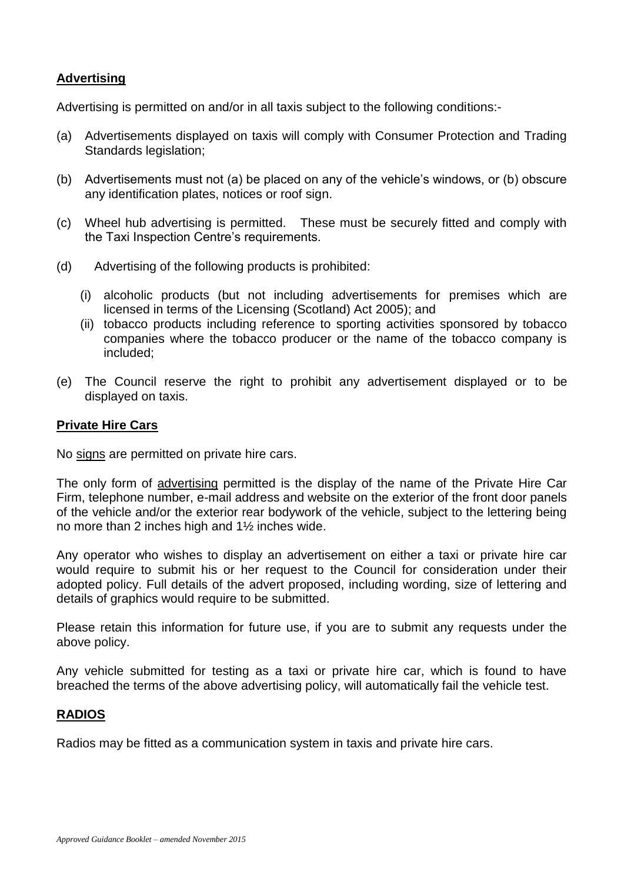# **Advertising**

Advertising is permitted on and/or in all taxis subject to the following conditions:-

- (a) Advertisements displayed on taxis will comply with Consumer Protection and Trading Standards legislation;
- (b) Advertisements must not (a) be placed on any of the vehicle's windows, or (b) obscure any identification plates, notices or roof sign.
- (c) Wheel hub advertising is permitted. These must be securely fitted and comply with the Taxi Inspection Centre's requirements.
- (d) Advertising of the following products is prohibited:
	- (i) alcoholic products (but not including advertisements for premises which are licensed in terms of the Licensing (Scotland) Act 2005); and
	- (ii) tobacco products including reference to sporting activities sponsored by tobacco companies where the tobacco producer or the name of the tobacco company is included;
- (e) The Council reserve the right to prohibit any advertisement displayed or to be displayed on taxis.

## **Private Hire Cars**

No signs are permitted on private hire cars.

The only form of advertising permitted is the display of the name of the Private Hire Car Firm, telephone number, e-mail address and website on the exterior of the front door panels of the vehicle and/or the exterior rear bodywork of the vehicle, subject to the lettering being no more than 2 inches high and 1½ inches wide.

Any operator who wishes to display an advertisement on either a taxi or private hire car would require to submit his or her request to the Council for consideration under their adopted policy. Full details of the advert proposed, including wording, size of lettering and details of graphics would require to be submitted.

Please retain this information for future use, if you are to submit any requests under the above policy.

Any vehicle submitted for testing as a taxi or private hire car, which is found to have breached the terms of the above advertising policy, will automatically fail the vehicle test.

## **RADIOS**

Radios may be fitted as a communication system in taxis and private hire cars.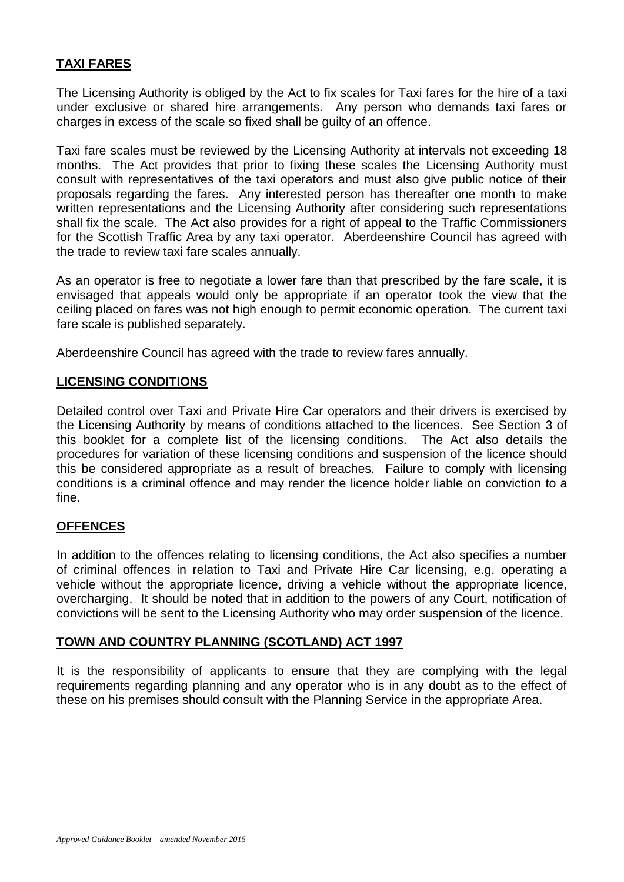# **TAXI FARES**

The Licensing Authority is obliged by the Act to fix scales for Taxi fares for the hire of a taxi under exclusive or shared hire arrangements. Any person who demands taxi fares or charges in excess of the scale so fixed shall be guilty of an offence.

Taxi fare scales must be reviewed by the Licensing Authority at intervals not exceeding 18 months. The Act provides that prior to fixing these scales the Licensing Authority must consult with representatives of the taxi operators and must also give public notice of their proposals regarding the fares. Any interested person has thereafter one month to make written representations and the Licensing Authority after considering such representations shall fix the scale. The Act also provides for a right of appeal to the Traffic Commissioners for the Scottish Traffic Area by any taxi operator. Aberdeenshire Council has agreed with the trade to review taxi fare scales annually.

As an operator is free to negotiate a lower fare than that prescribed by the fare scale, it is envisaged that appeals would only be appropriate if an operator took the view that the ceiling placed on fares was not high enough to permit economic operation. The current taxi fare scale is published separately.

Aberdeenshire Council has agreed with the trade to review fares annually.

## **LICENSING CONDITIONS**

Detailed control over Taxi and Private Hire Car operators and their drivers is exercised by the Licensing Authority by means of conditions attached to the licences. See Section 3 of this booklet for a complete list of the licensing conditions. The Act also details the procedures for variation of these licensing conditions and suspension of the licence should this be considered appropriate as a result of breaches. Failure to comply with licensing conditions is a criminal offence and may render the licence holder liable on conviction to a fine.

## **OFFENCES**

In addition to the offences relating to licensing conditions, the Act also specifies a number of criminal offences in relation to Taxi and Private Hire Car licensing, e.g. operating a vehicle without the appropriate licence, driving a vehicle without the appropriate licence, overcharging. It should be noted that in addition to the powers of any Court, notification of convictions will be sent to the Licensing Authority who may order suspension of the licence.

## **TOWN AND COUNTRY PLANNING (SCOTLAND) ACT 1997**

It is the responsibility of applicants to ensure that they are complying with the legal requirements regarding planning and any operator who is in any doubt as to the effect of these on his premises should consult with the Planning Service in the appropriate Area.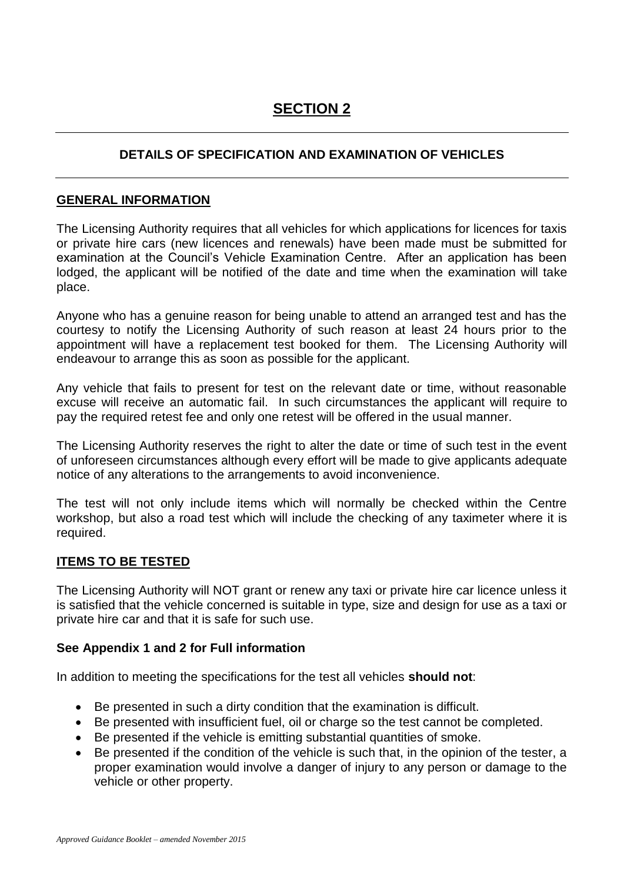# **SECTION 2**

# **DETAILS OF SPECIFICATION AND EXAMINATION OF VEHICLES**

## **GENERAL INFORMATION**

The Licensing Authority requires that all vehicles for which applications for licences for taxis or private hire cars (new licences and renewals) have been made must be submitted for examination at the Council's Vehicle Examination Centre. After an application has been lodged, the applicant will be notified of the date and time when the examination will take place.

Anyone who has a genuine reason for being unable to attend an arranged test and has the courtesy to notify the Licensing Authority of such reason at least 24 hours prior to the appointment will have a replacement test booked for them. The Licensing Authority will endeavour to arrange this as soon as possible for the applicant.

Any vehicle that fails to present for test on the relevant date or time, without reasonable excuse will receive an automatic fail. In such circumstances the applicant will require to pay the required retest fee and only one retest will be offered in the usual manner.

The Licensing Authority reserves the right to alter the date or time of such test in the event of unforeseen circumstances although every effort will be made to give applicants adequate notice of any alterations to the arrangements to avoid inconvenience.

The test will not only include items which will normally be checked within the Centre workshop, but also a road test which will include the checking of any taximeter where it is required.

## **ITEMS TO BE TESTED**

The Licensing Authority will NOT grant or renew any taxi or private hire car licence unless it is satisfied that the vehicle concerned is suitable in type, size and design for use as a taxi or private hire car and that it is safe for such use.

## **See Appendix 1 and 2 for Full information**

In addition to meeting the specifications for the test all vehicles **should not**:

- Be presented in such a dirty condition that the examination is difficult.
- Be presented with insufficient fuel, oil or charge so the test cannot be completed.
- Be presented if the vehicle is emitting substantial quantities of smoke.
- Be presented if the condition of the vehicle is such that, in the opinion of the tester, a proper examination would involve a danger of injury to any person or damage to the vehicle or other property.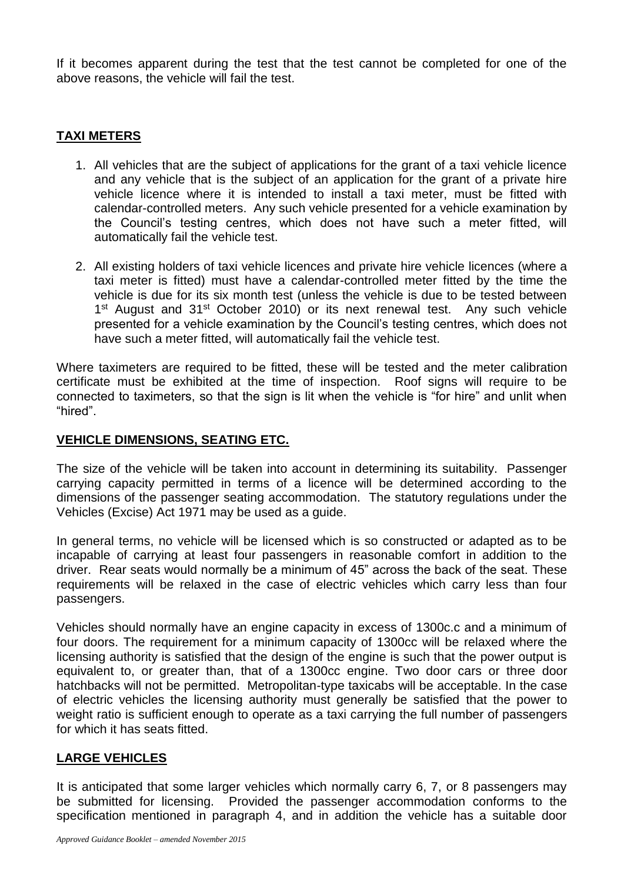If it becomes apparent during the test that the test cannot be completed for one of the above reasons, the vehicle will fail the test.

## **TAXI METERS**

- 1. All vehicles that are the subject of applications for the grant of a taxi vehicle licence and any vehicle that is the subject of an application for the grant of a private hire vehicle licence where it is intended to install a taxi meter, must be fitted with calendar-controlled meters. Any such vehicle presented for a vehicle examination by the Council's testing centres, which does not have such a meter fitted, will automatically fail the vehicle test.
- 2. All existing holders of taxi vehicle licences and private hire vehicle licences (where a taxi meter is fitted) must have a calendar-controlled meter fitted by the time the vehicle is due for its six month test (unless the vehicle is due to be tested between 1<sup>st</sup> August and 31<sup>st</sup> October 2010) or its next renewal test. Any such vehicle presented for a vehicle examination by the Council's testing centres, which does not have such a meter fitted, will automatically fail the vehicle test.

Where taximeters are required to be fitted, these will be tested and the meter calibration certificate must be exhibited at the time of inspection. Roof signs will require to be connected to taximeters, so that the sign is lit when the vehicle is "for hire" and unlit when "hired".

## **VEHICLE DIMENSIONS, SEATING ETC.**

The size of the vehicle will be taken into account in determining its suitability. Passenger carrying capacity permitted in terms of a licence will be determined according to the dimensions of the passenger seating accommodation. The statutory regulations under the Vehicles (Excise) Act 1971 may be used as a guide.

In general terms, no vehicle will be licensed which is so constructed or adapted as to be incapable of carrying at least four passengers in reasonable comfort in addition to the driver. Rear seats would normally be a minimum of 45" across the back of the seat. These requirements will be relaxed in the case of electric vehicles which carry less than four passengers.

Vehicles should normally have an engine capacity in excess of 1300c.c and a minimum of four doors. The requirement for a minimum capacity of 1300cc will be relaxed where the licensing authority is satisfied that the design of the engine is such that the power output is equivalent to, or greater than, that of a 1300cc engine. Two door cars or three door hatchbacks will not be permitted. Metropolitan-type taxicabs will be acceptable. In the case of electric vehicles the licensing authority must generally be satisfied that the power to weight ratio is sufficient enough to operate as a taxi carrying the full number of passengers for which it has seats fitted.

# **LARGE VEHICLES**

It is anticipated that some larger vehicles which normally carry 6, 7, or 8 passengers may be submitted for licensing. Provided the passenger accommodation conforms to the specification mentioned in paragraph 4, and in addition the vehicle has a suitable door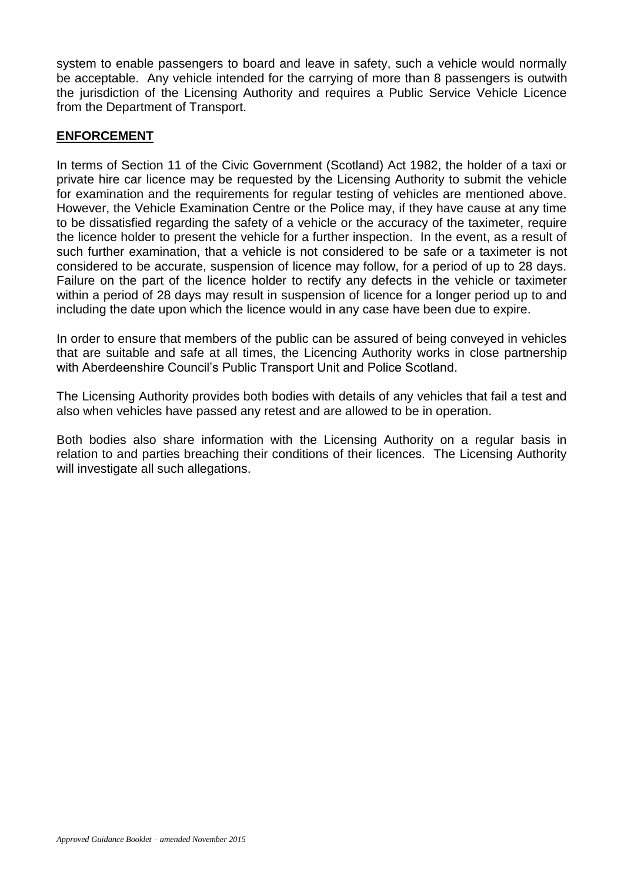system to enable passengers to board and leave in safety, such a vehicle would normally be acceptable. Any vehicle intended for the carrying of more than 8 passengers is outwith the jurisdiction of the Licensing Authority and requires a Public Service Vehicle Licence from the Department of Transport.

## **ENFORCEMENT**

In terms of Section 11 of the Civic Government (Scotland) Act 1982, the holder of a taxi or private hire car licence may be requested by the Licensing Authority to submit the vehicle for examination and the requirements for regular testing of vehicles are mentioned above. However, the Vehicle Examination Centre or the Police may, if they have cause at any time to be dissatisfied regarding the safety of a vehicle or the accuracy of the taximeter, require the licence holder to present the vehicle for a further inspection. In the event, as a result of such further examination, that a vehicle is not considered to be safe or a taximeter is not considered to be accurate, suspension of licence may follow, for a period of up to 28 days. Failure on the part of the licence holder to rectify any defects in the vehicle or taximeter within a period of 28 days may result in suspension of licence for a longer period up to and including the date upon which the licence would in any case have been due to expire.

In order to ensure that members of the public can be assured of being conveyed in vehicles that are suitable and safe at all times, the Licencing Authority works in close partnership with Aberdeenshire Council's Public Transport Unit and Police Scotland.

The Licensing Authority provides both bodies with details of any vehicles that fail a test and also when vehicles have passed any retest and are allowed to be in operation.

Both bodies also share information with the Licensing Authority on a regular basis in relation to and parties breaching their conditions of their licences. The Licensing Authority will investigate all such allegations.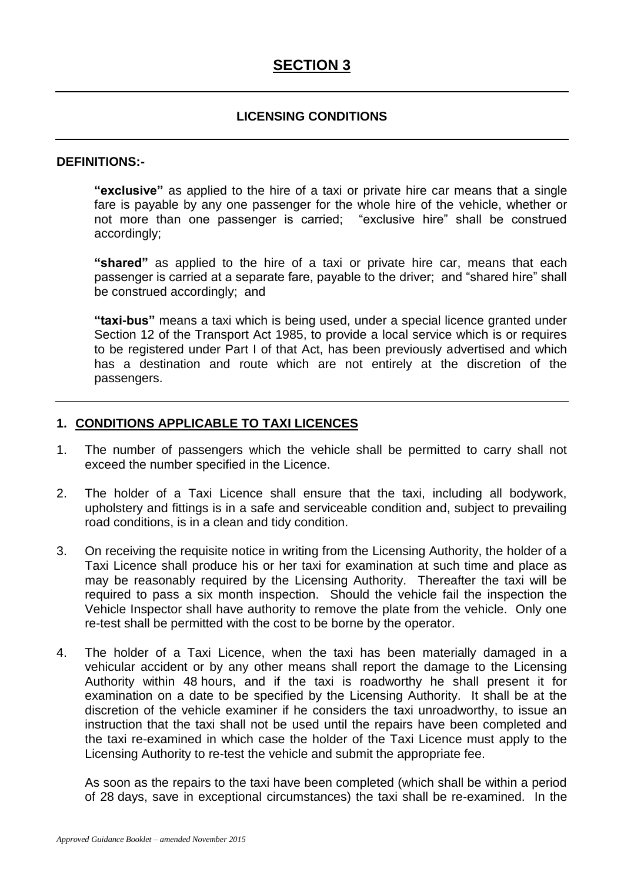# **SECTION 3**

## **LICENSING CONDITIONS**

#### **DEFINITIONS:-**

**"exclusive"** as applied to the hire of a taxi or private hire car means that a single fare is payable by any one passenger for the whole hire of the vehicle, whether or not more than one passenger is carried; "exclusive hire" shall be construed accordingly;

**"shared"** as applied to the hire of a taxi or private hire car, means that each passenger is carried at a separate fare, payable to the driver; and "shared hire" shall be construed accordingly; and

**"taxi-bus"** means a taxi which is being used, under a special licence granted under Section 12 of the Transport Act 1985, to provide a local service which is or requires to be registered under Part I of that Act, has been previously advertised and which has a destination and route which are not entirely at the discretion of the passengers.

## **1. CONDITIONS APPLICABLE TO TAXI LICENCES**

- 1. The number of passengers which the vehicle shall be permitted to carry shall not exceed the number specified in the Licence.
- 2. The holder of a Taxi Licence shall ensure that the taxi, including all bodywork, upholstery and fittings is in a safe and serviceable condition and, subject to prevailing road conditions, is in a clean and tidy condition.
- 3. On receiving the requisite notice in writing from the Licensing Authority, the holder of a Taxi Licence shall produce his or her taxi for examination at such time and place as may be reasonably required by the Licensing Authority. Thereafter the taxi will be required to pass a six month inspection. Should the vehicle fail the inspection the Vehicle Inspector shall have authority to remove the plate from the vehicle. Only one re-test shall be permitted with the cost to be borne by the operator.
- 4. The holder of a Taxi Licence, when the taxi has been materially damaged in a vehicular accident or by any other means shall report the damage to the Licensing Authority within 48 hours, and if the taxi is roadworthy he shall present it for examination on a date to be specified by the Licensing Authority. It shall be at the discretion of the vehicle examiner if he considers the taxi unroadworthy, to issue an instruction that the taxi shall not be used until the repairs have been completed and the taxi re-examined in which case the holder of the Taxi Licence must apply to the Licensing Authority to re-test the vehicle and submit the appropriate fee.

As soon as the repairs to the taxi have been completed (which shall be within a period of 28 days, save in exceptional circumstances) the taxi shall be re-examined. In the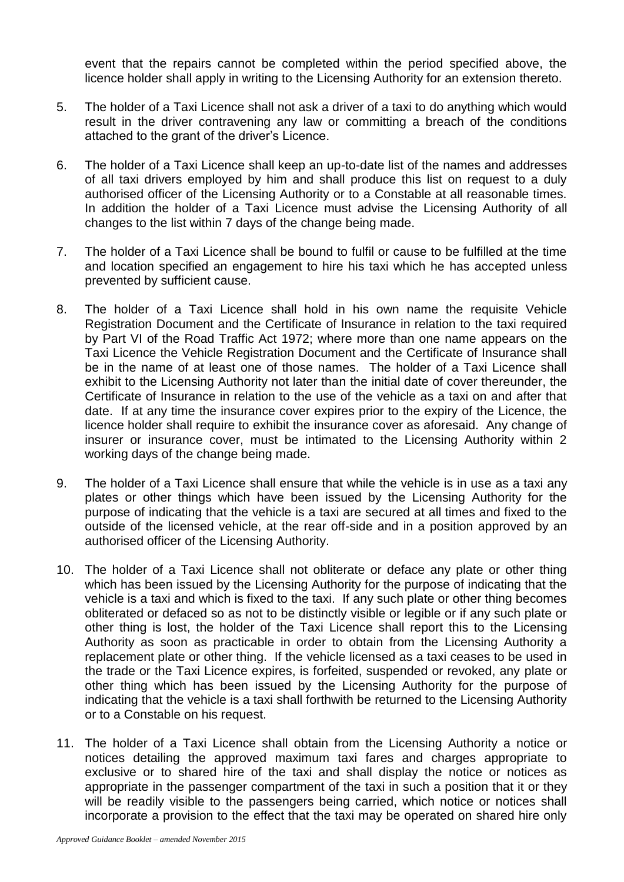event that the repairs cannot be completed within the period specified above, the licence holder shall apply in writing to the Licensing Authority for an extension thereto.

- 5. The holder of a Taxi Licence shall not ask a driver of a taxi to do anything which would result in the driver contravening any law or committing a breach of the conditions attached to the grant of the driver's Licence.
- 6. The holder of a Taxi Licence shall keep an up-to-date list of the names and addresses of all taxi drivers employed by him and shall produce this list on request to a duly authorised officer of the Licensing Authority or to a Constable at all reasonable times. In addition the holder of a Taxi Licence must advise the Licensing Authority of all changes to the list within 7 days of the change being made.
- 7. The holder of a Taxi Licence shall be bound to fulfil or cause to be fulfilled at the time and location specified an engagement to hire his taxi which he has accepted unless prevented by sufficient cause.
- 8. The holder of a Taxi Licence shall hold in his own name the requisite Vehicle Registration Document and the Certificate of Insurance in relation to the taxi required by Part VI of the Road Traffic Act 1972; where more than one name appears on the Taxi Licence the Vehicle Registration Document and the Certificate of Insurance shall be in the name of at least one of those names. The holder of a Taxi Licence shall exhibit to the Licensing Authority not later than the initial date of cover thereunder, the Certificate of Insurance in relation to the use of the vehicle as a taxi on and after that date. If at any time the insurance cover expires prior to the expiry of the Licence, the licence holder shall require to exhibit the insurance cover as aforesaid. Any change of insurer or insurance cover, must be intimated to the Licensing Authority within 2 working days of the change being made.
- 9. The holder of a Taxi Licence shall ensure that while the vehicle is in use as a taxi any plates or other things which have been issued by the Licensing Authority for the purpose of indicating that the vehicle is a taxi are secured at all times and fixed to the outside of the licensed vehicle, at the rear off-side and in a position approved by an authorised officer of the Licensing Authority.
- 10. The holder of a Taxi Licence shall not obliterate or deface any plate or other thing which has been issued by the Licensing Authority for the purpose of indicating that the vehicle is a taxi and which is fixed to the taxi. If any such plate or other thing becomes obliterated or defaced so as not to be distinctly visible or legible or if any such plate or other thing is lost, the holder of the Taxi Licence shall report this to the Licensing Authority as soon as practicable in order to obtain from the Licensing Authority a replacement plate or other thing. If the vehicle licensed as a taxi ceases to be used in the trade or the Taxi Licence expires, is forfeited, suspended or revoked, any plate or other thing which has been issued by the Licensing Authority for the purpose of indicating that the vehicle is a taxi shall forthwith be returned to the Licensing Authority or to a Constable on his request.
- 11. The holder of a Taxi Licence shall obtain from the Licensing Authority a notice or notices detailing the approved maximum taxi fares and charges appropriate to exclusive or to shared hire of the taxi and shall display the notice or notices as appropriate in the passenger compartment of the taxi in such a position that it or they will be readily visible to the passengers being carried, which notice or notices shall incorporate a provision to the effect that the taxi may be operated on shared hire only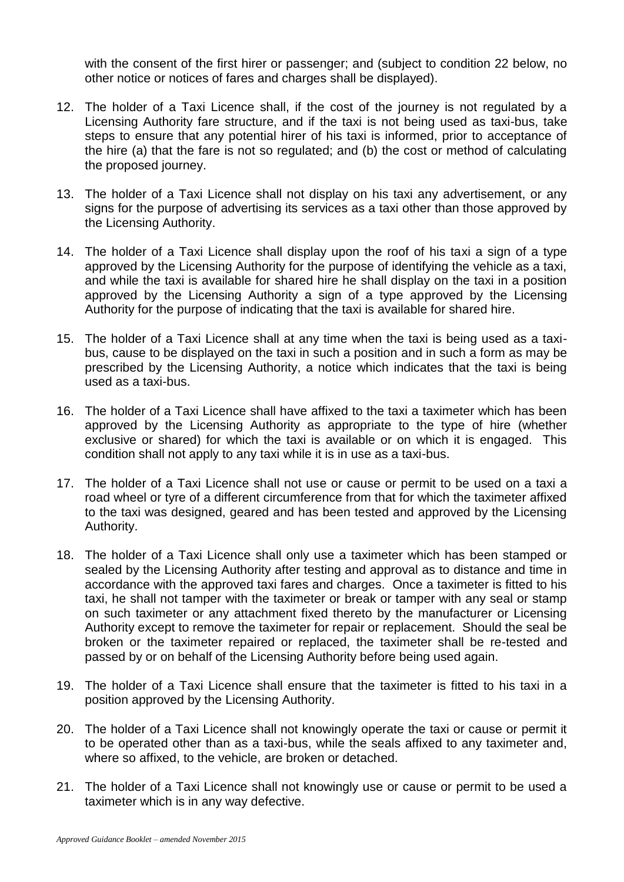with the consent of the first hirer or passenger; and (subject to condition 22 below, no other notice or notices of fares and charges shall be displayed).

- 12. The holder of a Taxi Licence shall, if the cost of the journey is not regulated by a Licensing Authority fare structure, and if the taxi is not being used as taxi-bus, take steps to ensure that any potential hirer of his taxi is informed, prior to acceptance of the hire (a) that the fare is not so regulated; and (b) the cost or method of calculating the proposed journey.
- 13. The holder of a Taxi Licence shall not display on his taxi any advertisement, or any signs for the purpose of advertising its services as a taxi other than those approved by the Licensing Authority.
- 14. The holder of a Taxi Licence shall display upon the roof of his taxi a sign of a type approved by the Licensing Authority for the purpose of identifying the vehicle as a taxi, and while the taxi is available for shared hire he shall display on the taxi in a position approved by the Licensing Authority a sign of a type approved by the Licensing Authority for the purpose of indicating that the taxi is available for shared hire.
- 15. The holder of a Taxi Licence shall at any time when the taxi is being used as a taxibus, cause to be displayed on the taxi in such a position and in such a form as may be prescribed by the Licensing Authority, a notice which indicates that the taxi is being used as a taxi-bus.
- 16. The holder of a Taxi Licence shall have affixed to the taxi a taximeter which has been approved by the Licensing Authority as appropriate to the type of hire (whether exclusive or shared) for which the taxi is available or on which it is engaged. This condition shall not apply to any taxi while it is in use as a taxi-bus.
- 17. The holder of a Taxi Licence shall not use or cause or permit to be used on a taxi a road wheel or tyre of a different circumference from that for which the taximeter affixed to the taxi was designed, geared and has been tested and approved by the Licensing Authority.
- 18. The holder of a Taxi Licence shall only use a taximeter which has been stamped or sealed by the Licensing Authority after testing and approval as to distance and time in accordance with the approved taxi fares and charges. Once a taximeter is fitted to his taxi, he shall not tamper with the taximeter or break or tamper with any seal or stamp on such taximeter or any attachment fixed thereto by the manufacturer or Licensing Authority except to remove the taximeter for repair or replacement. Should the seal be broken or the taximeter repaired or replaced, the taximeter shall be re-tested and passed by or on behalf of the Licensing Authority before being used again.
- 19. The holder of a Taxi Licence shall ensure that the taximeter is fitted to his taxi in a position approved by the Licensing Authority.
- 20. The holder of a Taxi Licence shall not knowingly operate the taxi or cause or permit it to be operated other than as a taxi-bus, while the seals affixed to any taximeter and, where so affixed, to the vehicle, are broken or detached.
- 21. The holder of a Taxi Licence shall not knowingly use or cause or permit to be used a taximeter which is in any way defective.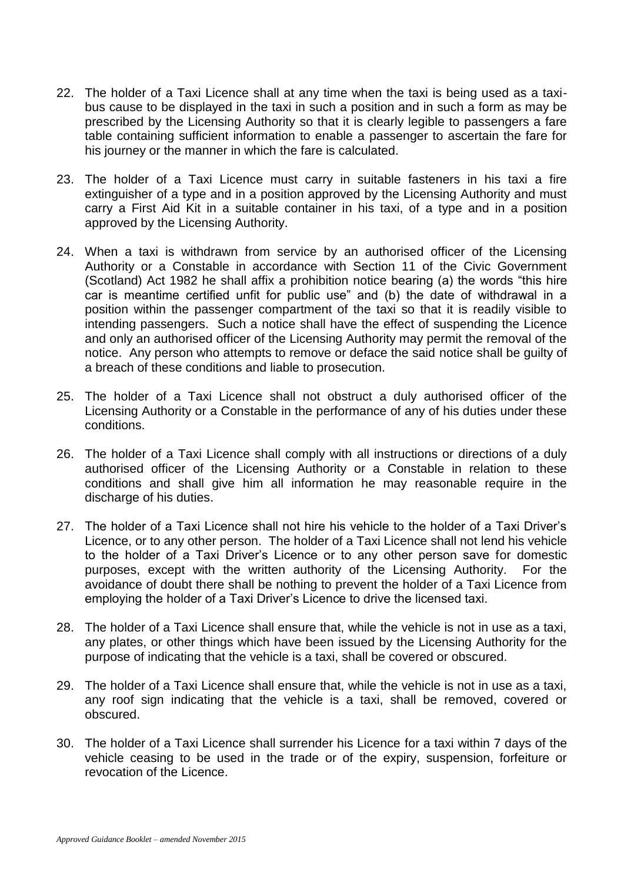- 22. The holder of a Taxi Licence shall at any time when the taxi is being used as a taxibus cause to be displayed in the taxi in such a position and in such a form as may be prescribed by the Licensing Authority so that it is clearly legible to passengers a fare table containing sufficient information to enable a passenger to ascertain the fare for his journey or the manner in which the fare is calculated.
- 23. The holder of a Taxi Licence must carry in suitable fasteners in his taxi a fire extinguisher of a type and in a position approved by the Licensing Authority and must carry a First Aid Kit in a suitable container in his taxi, of a type and in a position approved by the Licensing Authority.
- 24. When a taxi is withdrawn from service by an authorised officer of the Licensing Authority or a Constable in accordance with Section 11 of the Civic Government (Scotland) Act 1982 he shall affix a prohibition notice bearing (a) the words "this hire car is meantime certified unfit for public use" and (b) the date of withdrawal in a position within the passenger compartment of the taxi so that it is readily visible to intending passengers. Such a notice shall have the effect of suspending the Licence and only an authorised officer of the Licensing Authority may permit the removal of the notice. Any person who attempts to remove or deface the said notice shall be guilty of a breach of these conditions and liable to prosecution.
- 25. The holder of a Taxi Licence shall not obstruct a duly authorised officer of the Licensing Authority or a Constable in the performance of any of his duties under these conditions.
- 26. The holder of a Taxi Licence shall comply with all instructions or directions of a duly authorised officer of the Licensing Authority or a Constable in relation to these conditions and shall give him all information he may reasonable require in the discharge of his duties.
- 27. The holder of a Taxi Licence shall not hire his vehicle to the holder of a Taxi Driver's Licence, or to any other person. The holder of a Taxi Licence shall not lend his vehicle to the holder of a Taxi Driver's Licence or to any other person save for domestic purposes, except with the written authority of the Licensing Authority. For the avoidance of doubt there shall be nothing to prevent the holder of a Taxi Licence from employing the holder of a Taxi Driver's Licence to drive the licensed taxi.
- 28. The holder of a Taxi Licence shall ensure that, while the vehicle is not in use as a taxi, any plates, or other things which have been issued by the Licensing Authority for the purpose of indicating that the vehicle is a taxi, shall be covered or obscured.
- 29. The holder of a Taxi Licence shall ensure that, while the vehicle is not in use as a taxi, any roof sign indicating that the vehicle is a taxi, shall be removed, covered or obscured.
- 30. The holder of a Taxi Licence shall surrender his Licence for a taxi within 7 days of the vehicle ceasing to be used in the trade or of the expiry, suspension, forfeiture or revocation of the Licence.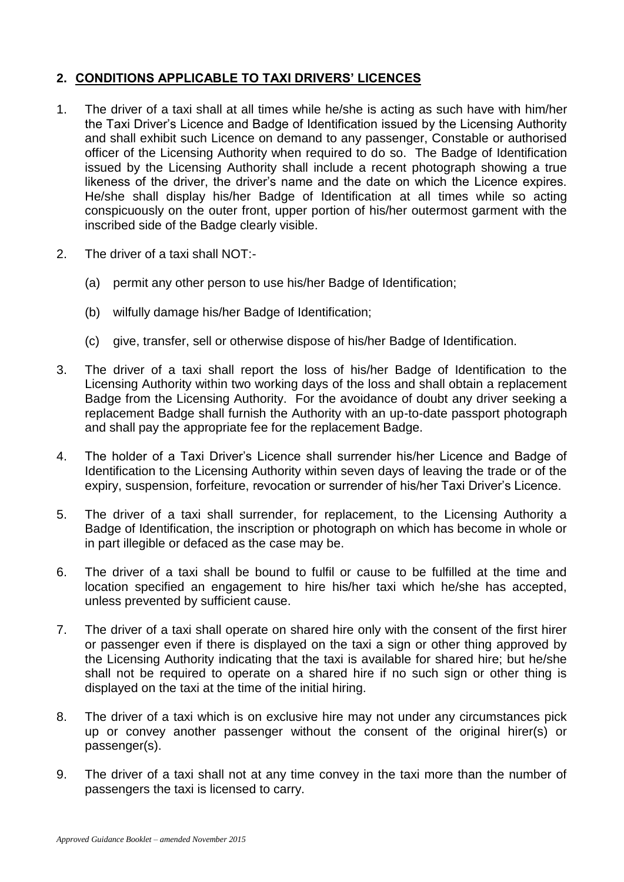# **2. CONDITIONS APPLICABLE TO TAXI DRIVERS' LICENCES**

- 1. The driver of a taxi shall at all times while he/she is acting as such have with him/her the Taxi Driver's Licence and Badge of Identification issued by the Licensing Authority and shall exhibit such Licence on demand to any passenger, Constable or authorised officer of the Licensing Authority when required to do so. The Badge of Identification issued by the Licensing Authority shall include a recent photograph showing a true likeness of the driver, the driver's name and the date on which the Licence expires. He/she shall display his/her Badge of Identification at all times while so acting conspicuously on the outer front, upper portion of his/her outermost garment with the inscribed side of the Badge clearly visible.
- 2. The driver of a taxi shall NOT:-
	- (a) permit any other person to use his/her Badge of Identification;
	- (b) wilfully damage his/her Badge of Identification;
	- (c) give, transfer, sell or otherwise dispose of his/her Badge of Identification.
- 3. The driver of a taxi shall report the loss of his/her Badge of Identification to the Licensing Authority within two working days of the loss and shall obtain a replacement Badge from the Licensing Authority. For the avoidance of doubt any driver seeking a replacement Badge shall furnish the Authority with an up-to-date passport photograph and shall pay the appropriate fee for the replacement Badge.
- 4. The holder of a Taxi Driver's Licence shall surrender his/her Licence and Badge of Identification to the Licensing Authority within seven days of leaving the trade or of the expiry, suspension, forfeiture, revocation or surrender of his/her Taxi Driver's Licence.
- 5. The driver of a taxi shall surrender, for replacement, to the Licensing Authority a Badge of Identification, the inscription or photograph on which has become in whole or in part illegible or defaced as the case may be.
- 6. The driver of a taxi shall be bound to fulfil or cause to be fulfilled at the time and location specified an engagement to hire his/her taxi which he/she has accepted, unless prevented by sufficient cause.
- 7. The driver of a taxi shall operate on shared hire only with the consent of the first hirer or passenger even if there is displayed on the taxi a sign or other thing approved by the Licensing Authority indicating that the taxi is available for shared hire; but he/she shall not be required to operate on a shared hire if no such sign or other thing is displayed on the taxi at the time of the initial hiring.
- 8. The driver of a taxi which is on exclusive hire may not under any circumstances pick up or convey another passenger without the consent of the original hirer(s) or passenger(s).
- 9. The driver of a taxi shall not at any time convey in the taxi more than the number of passengers the taxi is licensed to carry.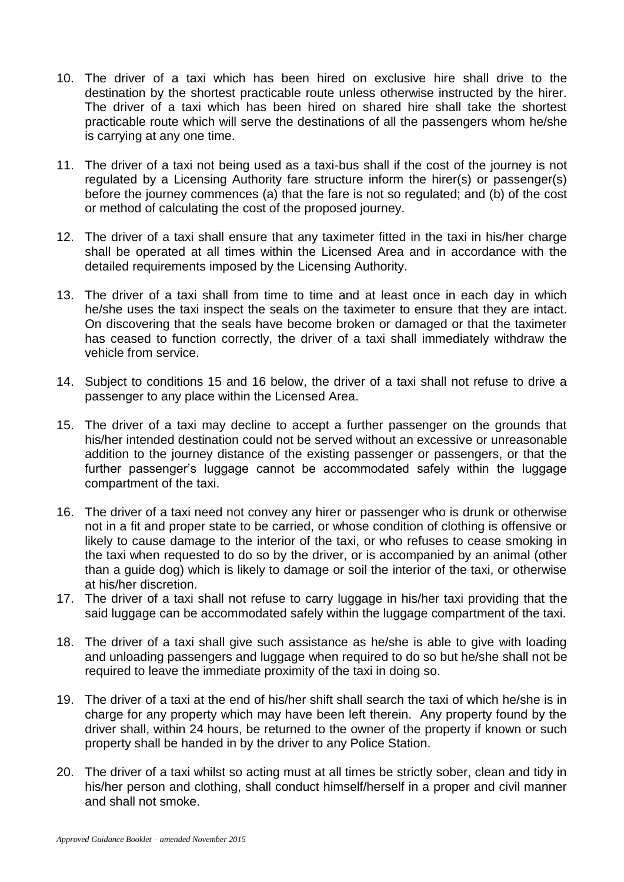- 10. The driver of a taxi which has been hired on exclusive hire shall drive to the destination by the shortest practicable route unless otherwise instructed by the hirer. The driver of a taxi which has been hired on shared hire shall take the shortest practicable route which will serve the destinations of all the passengers whom he/she is carrying at any one time.
- 11. The driver of a taxi not being used as a taxi-bus shall if the cost of the journey is not regulated by a Licensing Authority fare structure inform the hirer(s) or passenger(s) before the journey commences (a) that the fare is not so regulated; and (b) of the cost or method of calculating the cost of the proposed journey.
- 12. The driver of a taxi shall ensure that any taximeter fitted in the taxi in his/her charge shall be operated at all times within the Licensed Area and in accordance with the detailed requirements imposed by the Licensing Authority.
- 13. The driver of a taxi shall from time to time and at least once in each day in which he/she uses the taxi inspect the seals on the taximeter to ensure that they are intact. On discovering that the seals have become broken or damaged or that the taximeter has ceased to function correctly, the driver of a taxi shall immediately withdraw the vehicle from service.
- 14. Subject to conditions 15 and 16 below, the driver of a taxi shall not refuse to drive a passenger to any place within the Licensed Area.
- 15. The driver of a taxi may decline to accept a further passenger on the grounds that his/her intended destination could not be served without an excessive or unreasonable addition to the journey distance of the existing passenger or passengers, or that the further passenger's luggage cannot be accommodated safely within the luggage compartment of the taxi.
- 16. The driver of a taxi need not convey any hirer or passenger who is drunk or otherwise not in a fit and proper state to be carried, or whose condition of clothing is offensive or likely to cause damage to the interior of the taxi, or who refuses to cease smoking in the taxi when requested to do so by the driver, or is accompanied by an animal (other than a guide dog) which is likely to damage or soil the interior of the taxi, or otherwise at his/her discretion.
- 17. The driver of a taxi shall not refuse to carry luggage in his/her taxi providing that the said luggage can be accommodated safely within the luggage compartment of the taxi.
- 18. The driver of a taxi shall give such assistance as he/she is able to give with loading and unloading passengers and luggage when required to do so but he/she shall not be required to leave the immediate proximity of the taxi in doing so.
- 19. The driver of a taxi at the end of his/her shift shall search the taxi of which he/she is in charge for any property which may have been left therein. Any property found by the driver shall, within 24 hours, be returned to the owner of the property if known or such property shall be handed in by the driver to any Police Station.
- 20. The driver of a taxi whilst so acting must at all times be strictly sober, clean and tidy in his/her person and clothing, shall conduct himself/herself in a proper and civil manner and shall not smoke.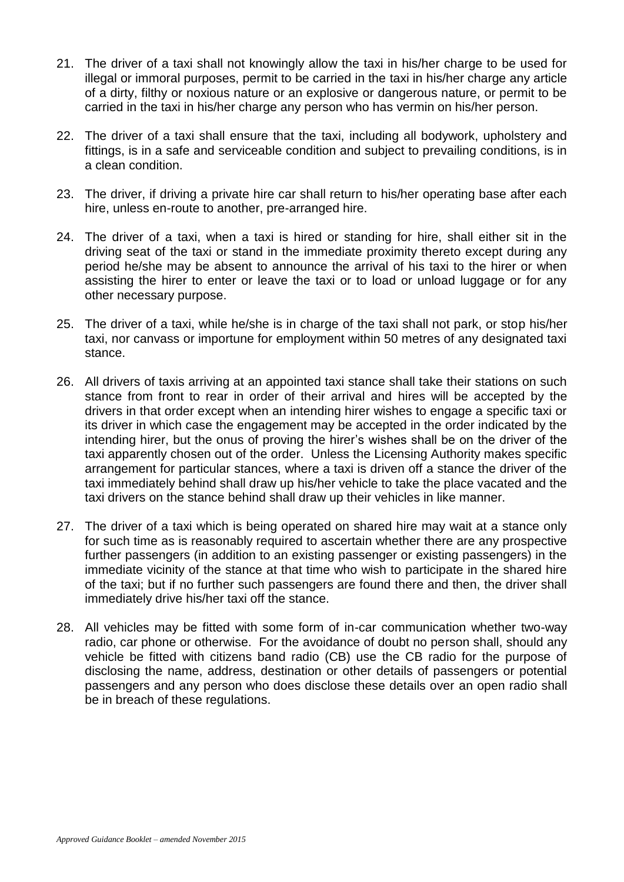- 21. The driver of a taxi shall not knowingly allow the taxi in his/her charge to be used for illegal or immoral purposes, permit to be carried in the taxi in his/her charge any article of a dirty, filthy or noxious nature or an explosive or dangerous nature, or permit to be carried in the taxi in his/her charge any person who has vermin on his/her person.
- 22. The driver of a taxi shall ensure that the taxi, including all bodywork, upholstery and fittings, is in a safe and serviceable condition and subject to prevailing conditions, is in a clean condition.
- 23. The driver, if driving a private hire car shall return to his/her operating base after each hire, unless en-route to another, pre-arranged hire.
- 24. The driver of a taxi, when a taxi is hired or standing for hire, shall either sit in the driving seat of the taxi or stand in the immediate proximity thereto except during any period he/she may be absent to announce the arrival of his taxi to the hirer or when assisting the hirer to enter or leave the taxi or to load or unload luggage or for any other necessary purpose.
- 25. The driver of a taxi, while he/she is in charge of the taxi shall not park, or stop his/her taxi, nor canvass or importune for employment within 50 metres of any designated taxi stance.
- 26. All drivers of taxis arriving at an appointed taxi stance shall take their stations on such stance from front to rear in order of their arrival and hires will be accepted by the drivers in that order except when an intending hirer wishes to engage a specific taxi or its driver in which case the engagement may be accepted in the order indicated by the intending hirer, but the onus of proving the hirer's wishes shall be on the driver of the taxi apparently chosen out of the order. Unless the Licensing Authority makes specific arrangement for particular stances, where a taxi is driven off a stance the driver of the taxi immediately behind shall draw up his/her vehicle to take the place vacated and the taxi drivers on the stance behind shall draw up their vehicles in like manner.
- 27. The driver of a taxi which is being operated on shared hire may wait at a stance only for such time as is reasonably required to ascertain whether there are any prospective further passengers (in addition to an existing passenger or existing passengers) in the immediate vicinity of the stance at that time who wish to participate in the shared hire of the taxi; but if no further such passengers are found there and then, the driver shall immediately drive his/her taxi off the stance.
- 28. All vehicles may be fitted with some form of in-car communication whether two-way radio, car phone or otherwise. For the avoidance of doubt no person shall, should any vehicle be fitted with citizens band radio (CB) use the CB radio for the purpose of disclosing the name, address, destination or other details of passengers or potential passengers and any person who does disclose these details over an open radio shall be in breach of these regulations.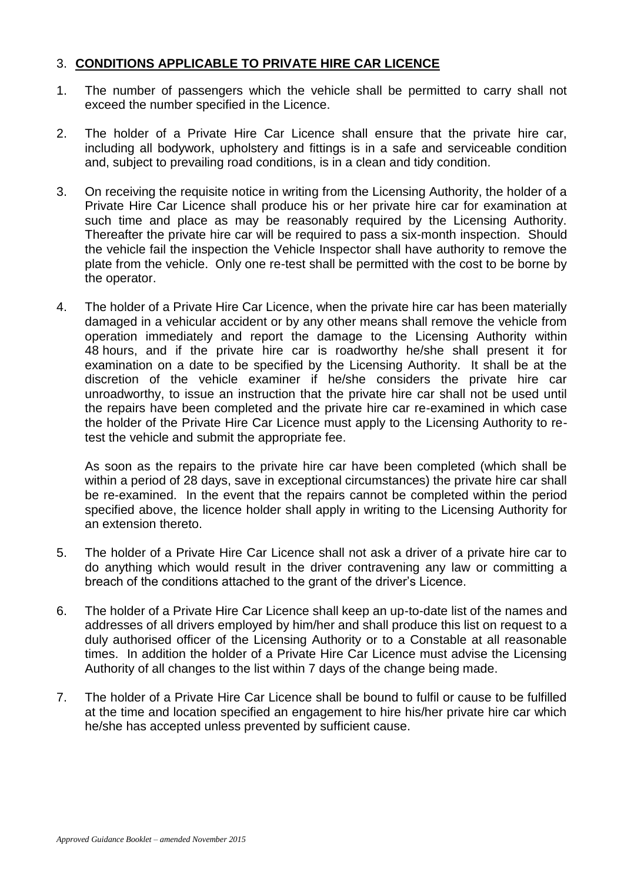# 3. **CONDITIONS APPLICABLE TO PRIVATE HIRE CAR LICENCE**

- 1. The number of passengers which the vehicle shall be permitted to carry shall not exceed the number specified in the Licence.
- 2. The holder of a Private Hire Car Licence shall ensure that the private hire car, including all bodywork, upholstery and fittings is in a safe and serviceable condition and, subject to prevailing road conditions, is in a clean and tidy condition.
- 3. On receiving the requisite notice in writing from the Licensing Authority, the holder of a Private Hire Car Licence shall produce his or her private hire car for examination at such time and place as may be reasonably required by the Licensing Authority. Thereafter the private hire car will be required to pass a six-month inspection. Should the vehicle fail the inspection the Vehicle Inspector shall have authority to remove the plate from the vehicle. Only one re-test shall be permitted with the cost to be borne by the operator.
- 4. The holder of a Private Hire Car Licence, when the private hire car has been materially damaged in a vehicular accident or by any other means shall remove the vehicle from operation immediately and report the damage to the Licensing Authority within 48 hours, and if the private hire car is roadworthy he/she shall present it for examination on a date to be specified by the Licensing Authority. It shall be at the discretion of the vehicle examiner if he/she considers the private hire car unroadworthy, to issue an instruction that the private hire car shall not be used until the repairs have been completed and the private hire car re-examined in which case the holder of the Private Hire Car Licence must apply to the Licensing Authority to retest the vehicle and submit the appropriate fee.

As soon as the repairs to the private hire car have been completed (which shall be within a period of 28 days, save in exceptional circumstances) the private hire car shall be re-examined. In the event that the repairs cannot be completed within the period specified above, the licence holder shall apply in writing to the Licensing Authority for an extension thereto.

- 5. The holder of a Private Hire Car Licence shall not ask a driver of a private hire car to do anything which would result in the driver contravening any law or committing a breach of the conditions attached to the grant of the driver's Licence.
- 6. The holder of a Private Hire Car Licence shall keep an up-to-date list of the names and addresses of all drivers employed by him/her and shall produce this list on request to a duly authorised officer of the Licensing Authority or to a Constable at all reasonable times. In addition the holder of a Private Hire Car Licence must advise the Licensing Authority of all changes to the list within 7 days of the change being made.
- 7. The holder of a Private Hire Car Licence shall be bound to fulfil or cause to be fulfilled at the time and location specified an engagement to hire his/her private hire car which he/she has accepted unless prevented by sufficient cause.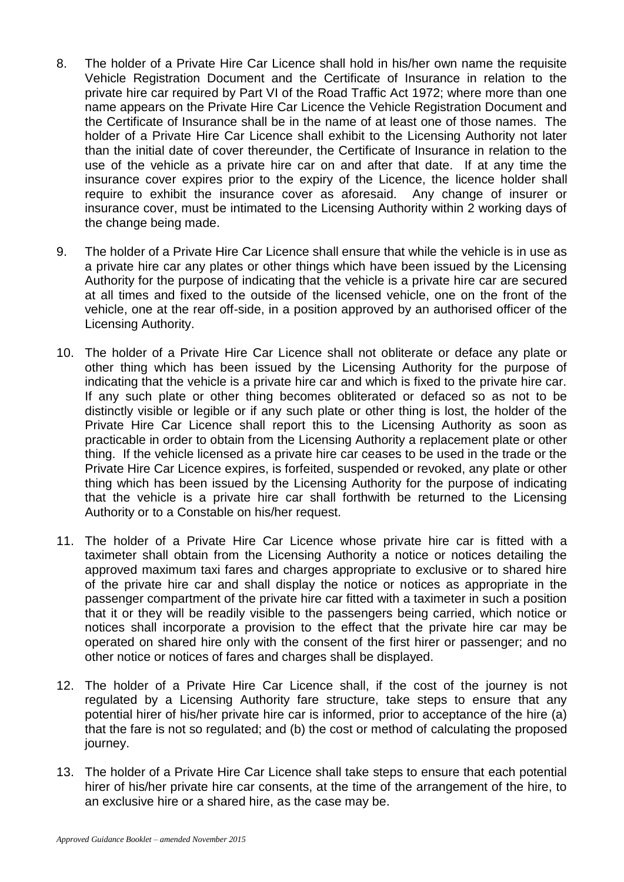- 8. The holder of a Private Hire Car Licence shall hold in his/her own name the requisite Vehicle Registration Document and the Certificate of Insurance in relation to the private hire car required by Part VI of the Road Traffic Act 1972; where more than one name appears on the Private Hire Car Licence the Vehicle Registration Document and the Certificate of Insurance shall be in the name of at least one of those names. The holder of a Private Hire Car Licence shall exhibit to the Licensing Authority not later than the initial date of cover thereunder, the Certificate of Insurance in relation to the use of the vehicle as a private hire car on and after that date. If at any time the insurance cover expires prior to the expiry of the Licence, the licence holder shall require to exhibit the insurance cover as aforesaid. Any change of insurer or insurance cover, must be intimated to the Licensing Authority within 2 working days of the change being made.
- 9. The holder of a Private Hire Car Licence shall ensure that while the vehicle is in use as a private hire car any plates or other things which have been issued by the Licensing Authority for the purpose of indicating that the vehicle is a private hire car are secured at all times and fixed to the outside of the licensed vehicle, one on the front of the vehicle, one at the rear off-side, in a position approved by an authorised officer of the Licensing Authority.
- 10. The holder of a Private Hire Car Licence shall not obliterate or deface any plate or other thing which has been issued by the Licensing Authority for the purpose of indicating that the vehicle is a private hire car and which is fixed to the private hire car. If any such plate or other thing becomes obliterated or defaced so as not to be distinctly visible or legible or if any such plate or other thing is lost, the holder of the Private Hire Car Licence shall report this to the Licensing Authority as soon as practicable in order to obtain from the Licensing Authority a replacement plate or other thing. If the vehicle licensed as a private hire car ceases to be used in the trade or the Private Hire Car Licence expires, is forfeited, suspended or revoked, any plate or other thing which has been issued by the Licensing Authority for the purpose of indicating that the vehicle is a private hire car shall forthwith be returned to the Licensing Authority or to a Constable on his/her request.
- 11. The holder of a Private Hire Car Licence whose private hire car is fitted with a taximeter shall obtain from the Licensing Authority a notice or notices detailing the approved maximum taxi fares and charges appropriate to exclusive or to shared hire of the private hire car and shall display the notice or notices as appropriate in the passenger compartment of the private hire car fitted with a taximeter in such a position that it or they will be readily visible to the passengers being carried, which notice or notices shall incorporate a provision to the effect that the private hire car may be operated on shared hire only with the consent of the first hirer or passenger; and no other notice or notices of fares and charges shall be displayed.
- 12. The holder of a Private Hire Car Licence shall, if the cost of the journey is not regulated by a Licensing Authority fare structure, take steps to ensure that any potential hirer of his/her private hire car is informed, prior to acceptance of the hire (a) that the fare is not so regulated; and (b) the cost or method of calculating the proposed journey.
- 13. The holder of a Private Hire Car Licence shall take steps to ensure that each potential hirer of his/her private hire car consents, at the time of the arrangement of the hire, to an exclusive hire or a shared hire, as the case may be.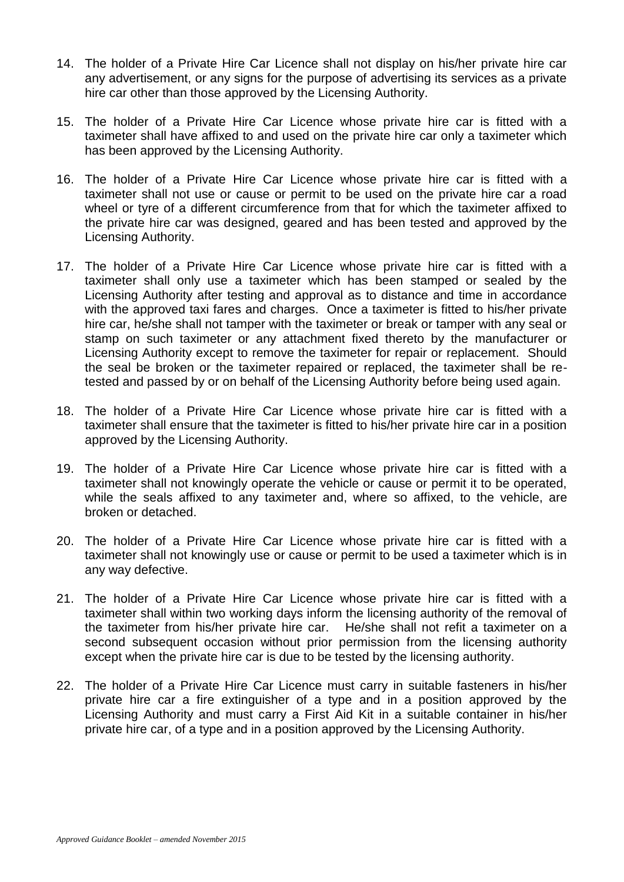- 14. The holder of a Private Hire Car Licence shall not display on his/her private hire car any advertisement, or any signs for the purpose of advertising its services as a private hire car other than those approved by the Licensing Authority.
- 15. The holder of a Private Hire Car Licence whose private hire car is fitted with a taximeter shall have affixed to and used on the private hire car only a taximeter which has been approved by the Licensing Authority.
- 16. The holder of a Private Hire Car Licence whose private hire car is fitted with a taximeter shall not use or cause or permit to be used on the private hire car a road wheel or tyre of a different circumference from that for which the taximeter affixed to the private hire car was designed, geared and has been tested and approved by the Licensing Authority.
- 17. The holder of a Private Hire Car Licence whose private hire car is fitted with a taximeter shall only use a taximeter which has been stamped or sealed by the Licensing Authority after testing and approval as to distance and time in accordance with the approved taxi fares and charges. Once a taximeter is fitted to his/her private hire car, he/she shall not tamper with the taximeter or break or tamper with any seal or stamp on such taximeter or any attachment fixed thereto by the manufacturer or Licensing Authority except to remove the taximeter for repair or replacement. Should the seal be broken or the taximeter repaired or replaced, the taximeter shall be retested and passed by or on behalf of the Licensing Authority before being used again.
- 18. The holder of a Private Hire Car Licence whose private hire car is fitted with a taximeter shall ensure that the taximeter is fitted to his/her private hire car in a position approved by the Licensing Authority.
- 19. The holder of a Private Hire Car Licence whose private hire car is fitted with a taximeter shall not knowingly operate the vehicle or cause or permit it to be operated, while the seals affixed to any taximeter and, where so affixed, to the vehicle, are broken or detached.
- 20. The holder of a Private Hire Car Licence whose private hire car is fitted with a taximeter shall not knowingly use or cause or permit to be used a taximeter which is in any way defective.
- 21. The holder of a Private Hire Car Licence whose private hire car is fitted with a taximeter shall within two working days inform the licensing authority of the removal of the taximeter from his/her private hire car. He/she shall not refit a taximeter on a second subsequent occasion without prior permission from the licensing authority except when the private hire car is due to be tested by the licensing authority.
- 22. The holder of a Private Hire Car Licence must carry in suitable fasteners in his/her private hire car a fire extinguisher of a type and in a position approved by the Licensing Authority and must carry a First Aid Kit in a suitable container in his/her private hire car, of a type and in a position approved by the Licensing Authority.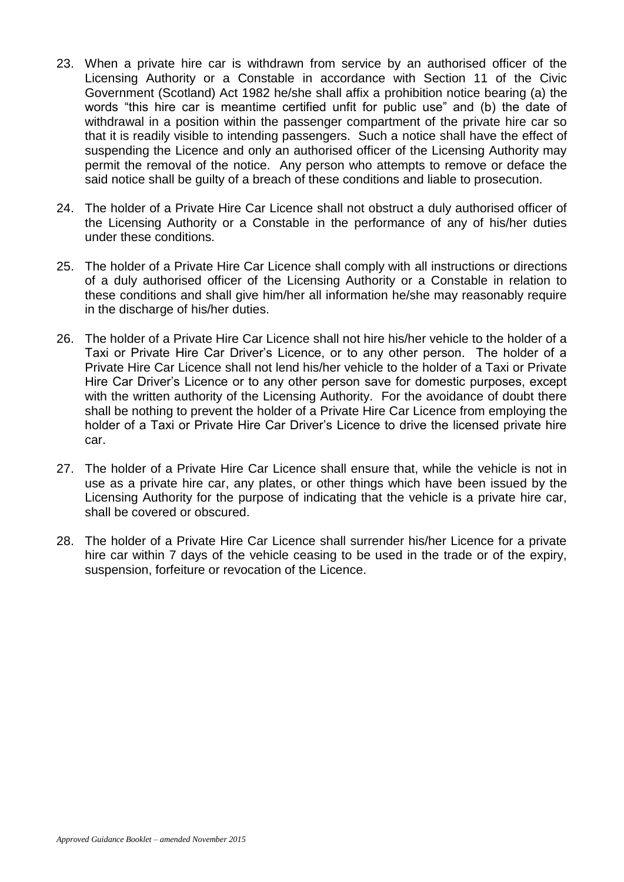- 23. When a private hire car is withdrawn from service by an authorised officer of the Licensing Authority or a Constable in accordance with Section 11 of the Civic Government (Scotland) Act 1982 he/she shall affix a prohibition notice bearing (a) the words "this hire car is meantime certified unfit for public use" and (b) the date of withdrawal in a position within the passenger compartment of the private hire car so that it is readily visible to intending passengers. Such a notice shall have the effect of suspending the Licence and only an authorised officer of the Licensing Authority may permit the removal of the notice. Any person who attempts to remove or deface the said notice shall be guilty of a breach of these conditions and liable to prosecution.
- 24. The holder of a Private Hire Car Licence shall not obstruct a duly authorised officer of the Licensing Authority or a Constable in the performance of any of his/her duties under these conditions.
- 25. The holder of a Private Hire Car Licence shall comply with all instructions or directions of a duly authorised officer of the Licensing Authority or a Constable in relation to these conditions and shall give him/her all information he/she may reasonably require in the discharge of his/her duties.
- 26. The holder of a Private Hire Car Licence shall not hire his/her vehicle to the holder of a Taxi or Private Hire Car Driver's Licence, or to any other person. The holder of a Private Hire Car Licence shall not lend his/her vehicle to the holder of a Taxi or Private Hire Car Driver's Licence or to any other person save for domestic purposes, except with the written authority of the Licensing Authority. For the avoidance of doubt there shall be nothing to prevent the holder of a Private Hire Car Licence from employing the holder of a Taxi or Private Hire Car Driver's Licence to drive the licensed private hire car.
- 27. The holder of a Private Hire Car Licence shall ensure that, while the vehicle is not in use as a private hire car, any plates, or other things which have been issued by the Licensing Authority for the purpose of indicating that the vehicle is a private hire car, shall be covered or obscured.
- 28. The holder of a Private Hire Car Licence shall surrender his/her Licence for a private hire car within 7 days of the vehicle ceasing to be used in the trade or of the expiry, suspension, forfeiture or revocation of the Licence.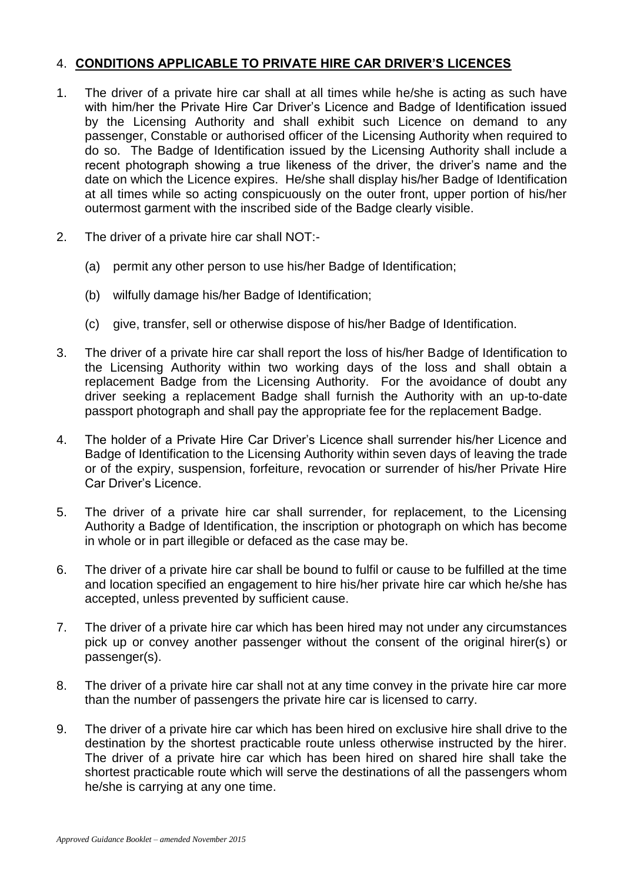# 4. **CONDITIONS APPLICABLE TO PRIVATE HIRE CAR DRIVER'S LICENCES**

- 1. The driver of a private hire car shall at all times while he/she is acting as such have with him/her the Private Hire Car Driver's Licence and Badge of Identification issued by the Licensing Authority and shall exhibit such Licence on demand to any passenger, Constable or authorised officer of the Licensing Authority when required to do so. The Badge of Identification issued by the Licensing Authority shall include a recent photograph showing a true likeness of the driver, the driver's name and the date on which the Licence expires. He/she shall display his/her Badge of Identification at all times while so acting conspicuously on the outer front, upper portion of his/her outermost garment with the inscribed side of the Badge clearly visible.
- 2. The driver of a private hire car shall NOT:-
	- (a) permit any other person to use his/her Badge of Identification;
	- (b) wilfully damage his/her Badge of Identification;
	- (c) give, transfer, sell or otherwise dispose of his/her Badge of Identification.
- 3. The driver of a private hire car shall report the loss of his/her Badge of Identification to the Licensing Authority within two working days of the loss and shall obtain a replacement Badge from the Licensing Authority. For the avoidance of doubt any driver seeking a replacement Badge shall furnish the Authority with an up-to-date passport photograph and shall pay the appropriate fee for the replacement Badge.
- 4. The holder of a Private Hire Car Driver's Licence shall surrender his/her Licence and Badge of Identification to the Licensing Authority within seven days of leaving the trade or of the expiry, suspension, forfeiture, revocation or surrender of his/her Private Hire Car Driver's Licence.
- 5. The driver of a private hire car shall surrender, for replacement, to the Licensing Authority a Badge of Identification, the inscription or photograph on which has become in whole or in part illegible or defaced as the case may be.
- 6. The driver of a private hire car shall be bound to fulfil or cause to be fulfilled at the time and location specified an engagement to hire his/her private hire car which he/she has accepted, unless prevented by sufficient cause.
- 7. The driver of a private hire car which has been hired may not under any circumstances pick up or convey another passenger without the consent of the original hirer(s) or passenger(s).
- 8. The driver of a private hire car shall not at any time convey in the private hire car more than the number of passengers the private hire car is licensed to carry.
- 9. The driver of a private hire car which has been hired on exclusive hire shall drive to the destination by the shortest practicable route unless otherwise instructed by the hirer. The driver of a private hire car which has been hired on shared hire shall take the shortest practicable route which will serve the destinations of all the passengers whom he/she is carrying at any one time.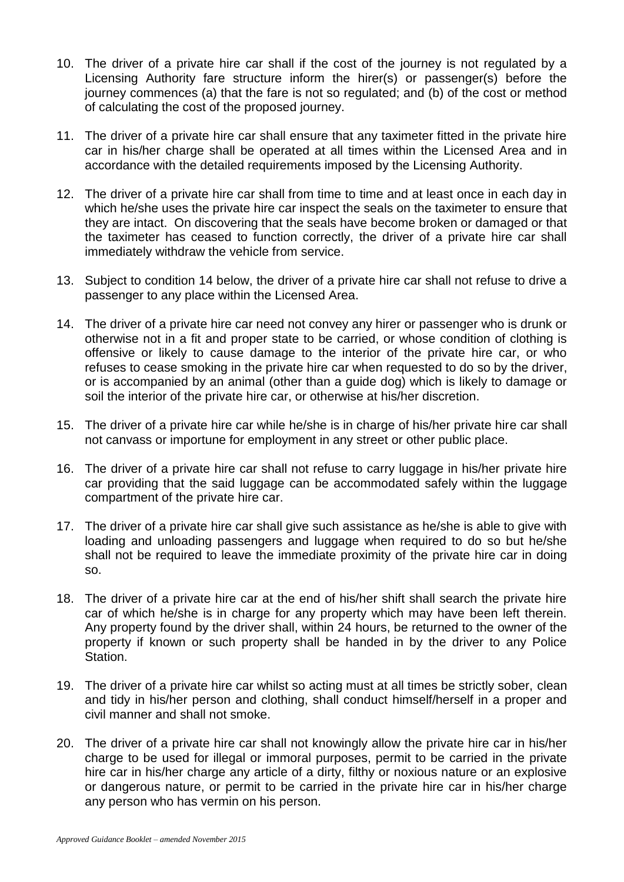- 10. The driver of a private hire car shall if the cost of the journey is not regulated by a Licensing Authority fare structure inform the hirer(s) or passenger(s) before the journey commences (a) that the fare is not so regulated; and (b) of the cost or method of calculating the cost of the proposed journey.
- 11. The driver of a private hire car shall ensure that any taximeter fitted in the private hire car in his/her charge shall be operated at all times within the Licensed Area and in accordance with the detailed requirements imposed by the Licensing Authority.
- 12. The driver of a private hire car shall from time to time and at least once in each day in which he/she uses the private hire car inspect the seals on the taximeter to ensure that they are intact. On discovering that the seals have become broken or damaged or that the taximeter has ceased to function correctly, the driver of a private hire car shall immediately withdraw the vehicle from service.
- 13. Subject to condition 14 below, the driver of a private hire car shall not refuse to drive a passenger to any place within the Licensed Area.
- 14. The driver of a private hire car need not convey any hirer or passenger who is drunk or otherwise not in a fit and proper state to be carried, or whose condition of clothing is offensive or likely to cause damage to the interior of the private hire car, or who refuses to cease smoking in the private hire car when requested to do so by the driver, or is accompanied by an animal (other than a guide dog) which is likely to damage or soil the interior of the private hire car, or otherwise at his/her discretion.
- 15. The driver of a private hire car while he/she is in charge of his/her private hire car shall not canvass or importune for employment in any street or other public place.
- 16. The driver of a private hire car shall not refuse to carry luggage in his/her private hire car providing that the said luggage can be accommodated safely within the luggage compartment of the private hire car.
- 17. The driver of a private hire car shall give such assistance as he/she is able to give with loading and unloading passengers and luggage when required to do so but he/she shall not be required to leave the immediate proximity of the private hire car in doing so.
- 18. The driver of a private hire car at the end of his/her shift shall search the private hire car of which he/she is in charge for any property which may have been left therein. Any property found by the driver shall, within 24 hours, be returned to the owner of the property if known or such property shall be handed in by the driver to any Police Station.
- 19. The driver of a private hire car whilst so acting must at all times be strictly sober, clean and tidy in his/her person and clothing, shall conduct himself/herself in a proper and civil manner and shall not smoke.
- 20. The driver of a private hire car shall not knowingly allow the private hire car in his/her charge to be used for illegal or immoral purposes, permit to be carried in the private hire car in his/her charge any article of a dirty, filthy or noxious nature or an explosive or dangerous nature, or permit to be carried in the private hire car in his/her charge any person who has vermin on his person.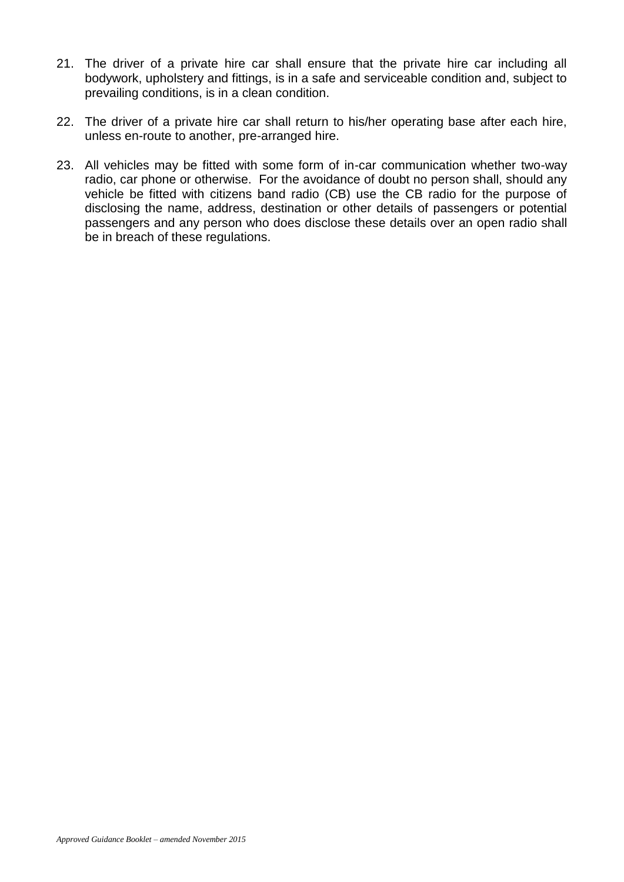- 21. The driver of a private hire car shall ensure that the private hire car including all bodywork, upholstery and fittings, is in a safe and serviceable condition and, subject to prevailing conditions, is in a clean condition.
- 22. The driver of a private hire car shall return to his/her operating base after each hire, unless en-route to another, pre-arranged hire.
- 23. All vehicles may be fitted with some form of in-car communication whether two-way radio, car phone or otherwise. For the avoidance of doubt no person shall, should any vehicle be fitted with citizens band radio (CB) use the CB radio for the purpose of disclosing the name, address, destination or other details of passengers or potential passengers and any person who does disclose these details over an open radio shall be in breach of these regulations.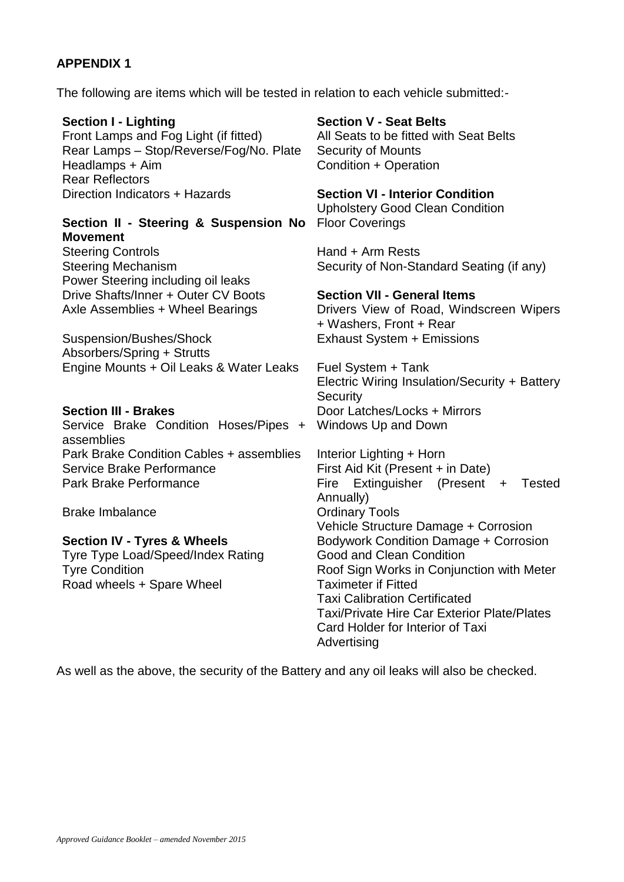## **APPENDIX 1**

The following are items which will be tested in relation to each vehicle submitted:-

**Section I - Lighting Section V - Seat Belts** Front Lamps and Fog Light (if fitted) All Seats to be fitted with Seat Belts Rear Lamps – Stop/Reverse/Fog/No. Plate Security of Mounts Headlamps + Aim Condition + Operation Rear Reflectors Direction Indicators + Hazards **Section VI - Interior Condition** Upholstery Good Clean Condition **Section II - Steering & Suspension No Movement** Floor Coverings Steering Controls **Example 20** Steering Controls Steering Mechanism Security of Non-Standard Seating (if any) Power Steering including oil leaks Drive Shafts/Inner + Outer CV Boots **Section VII - General Items** Axle Assemblies + Wheel Bearings Drivers View of Road, Windscreen Wipers + Washers, Front + Rear Suspension/Bushes/Shock Absorbers/Spring + Strutts Exhaust System + Emissions Engine Mounts + Oil Leaks & Water Leaks Fuel System + Tank Electric Wiring Insulation/Security + Battery **Security Section III - Brakes Door Latches/Locks + Mirrors** Service Brake Condition Hoses/Pipes + assemblies Windows Up and Down Park Brake Condition Cables + assemblies Interior Lighting + Horn Service Brake Performance First Aid Kit (Present + in Date) Park Brake Performance Fire Extinguisher (Present + Tested Annually) Brake Imbalance **Drawing Community** Credinary Tools Vehicle Structure Damage + Corrosion **Section IV - Tyres & Wheels** Bodywork Condition Damage + Corrosion Tyre Type Load/Speed/Index Rating Good and Clean Condition Tyre Condition **The Condition** Roof Sign Works in Conjunction with Meter Road wheels + Spare Wheel Taximeter if Fitted

As well as the above, the security of the Battery and any oil leaks will also be checked.

Advertising

Taxi Calibration Certificated

Card Holder for Interior of Taxi

Taxi/Private Hire Car Exterior Plate/Plates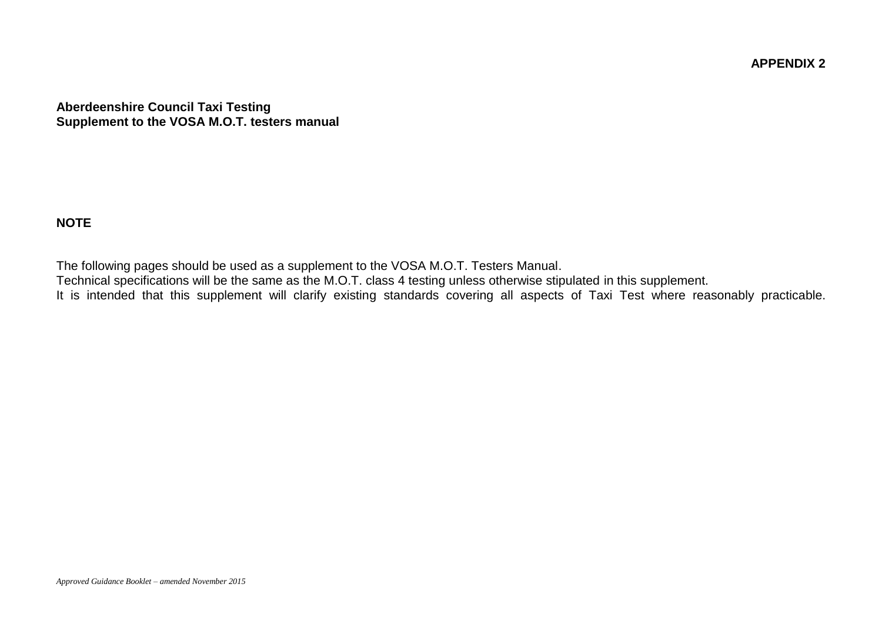**APPENDIX 2**

**Aberdeenshire Council Taxi Testing Supplement to the VOSA M.O.T. testers manual**

## **NOTE**

The following pages should be used as a supplement to the VOSA M.O.T. Testers Manual.

Technical specifications will be the same as the M.O.T. class 4 testing unless otherwise stipulated in this supplement.

It is intended that this supplement will clarify existing standards covering all aspects of Taxi Test where reasonably practicable.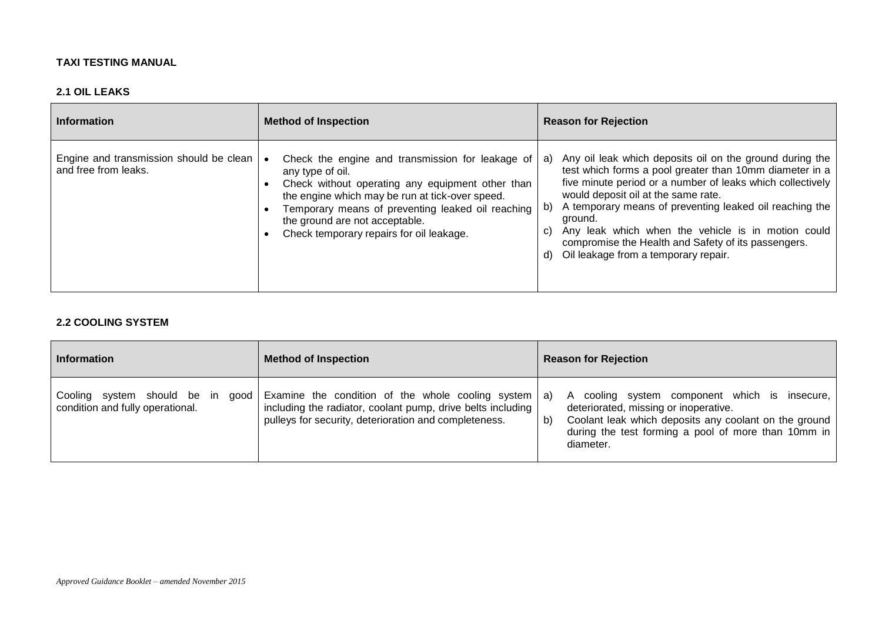#### **TAXI TESTING MANUAL**

#### **2.1 OIL LEAKS**

| <b>Information</b>                                              | <b>Method of Inspection</b>                                                                                                                                                                                                                                                                                    | <b>Reason for Rejection</b>                                                                                                                                                                                                                                                                                                                                                                                                                                                 |
|-----------------------------------------------------------------|----------------------------------------------------------------------------------------------------------------------------------------------------------------------------------------------------------------------------------------------------------------------------------------------------------------|-----------------------------------------------------------------------------------------------------------------------------------------------------------------------------------------------------------------------------------------------------------------------------------------------------------------------------------------------------------------------------------------------------------------------------------------------------------------------------|
| Engine and transmission should be clean<br>and free from leaks. | Check the engine and transmission for leakage of<br>any type of oil.<br>Check without operating any equipment other than<br>the engine which may be run at tick-over speed.<br>Temporary means of preventing leaked oil reaching<br>the ground are not acceptable.<br>Check temporary repairs for oil leakage. | Any oil leak which deposits oil on the ground during the<br>a)<br>test which forms a pool greater than 10mm diameter in a<br>five minute period or a number of leaks which collectively<br>would deposit oil at the same rate.<br>A temporary means of preventing leaked oil reaching the<br>b)<br>ground.<br>Any leak which when the vehicle is in motion could<br>C)<br>compromise the Health and Safety of its passengers.<br>Oil leakage from a temporary repair.<br>d) |

#### **2.2 COOLING SYSTEM**

| <b>Information</b>                                                   | <b>Method of Inspection</b>                                                                                                                                               | <b>Reason for Rejection</b>                                                                                                                                                                                                                   |
|----------------------------------------------------------------------|---------------------------------------------------------------------------------------------------------------------------------------------------------------------------|-----------------------------------------------------------------------------------------------------------------------------------------------------------------------------------------------------------------------------------------------|
| Cooling system should be in good<br>condition and fully operational. | Examine the condition of the whole cooling system<br>including the radiator, coolant pump, drive belts including<br>pulleys for security, deterioration and completeness. | cooling system component which is insecure,<br>a)<br>$\mathsf{A}$<br>deteriorated, missing or inoperative.<br>Coolant leak which deposits any coolant on the ground<br>b)<br>during the test forming a pool of more than 10mm in<br>diameter. |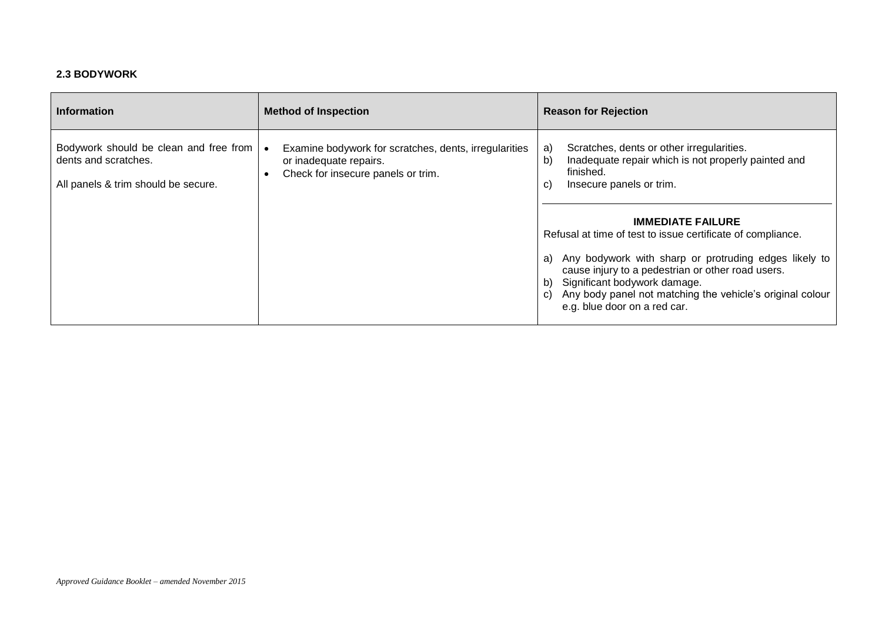#### **2.3 BODYWORK**

| <b>Information</b>                                                                                    | <b>Method of Inspection</b>                                                                                           | <b>Reason for Rejection</b>                                                                                                                                                                                                                                                                                                                                                                                                                                                                                         |
|-------------------------------------------------------------------------------------------------------|-----------------------------------------------------------------------------------------------------------------------|---------------------------------------------------------------------------------------------------------------------------------------------------------------------------------------------------------------------------------------------------------------------------------------------------------------------------------------------------------------------------------------------------------------------------------------------------------------------------------------------------------------------|
| Bodywork should be clean and free from<br>dents and scratches.<br>All panels & trim should be secure. | Examine bodywork for scratches, dents, irregularities<br>or inadequate repairs.<br>Check for insecure panels or trim. | Scratches, dents or other irregularities.<br>a)<br>Inadequate repair which is not properly painted and<br>b)<br>finished.<br>Insecure panels or trim.<br>C)<br><b>IMMEDIATE FAILURE</b><br>Refusal at time of test to issue certificate of compliance.<br>Any bodywork with sharp or protruding edges likely to<br>a)<br>cause injury to a pedestrian or other road users.<br>Significant bodywork damage.<br>b)<br>Any body panel not matching the vehicle's original colour<br>C)<br>e.g. blue door on a red car. |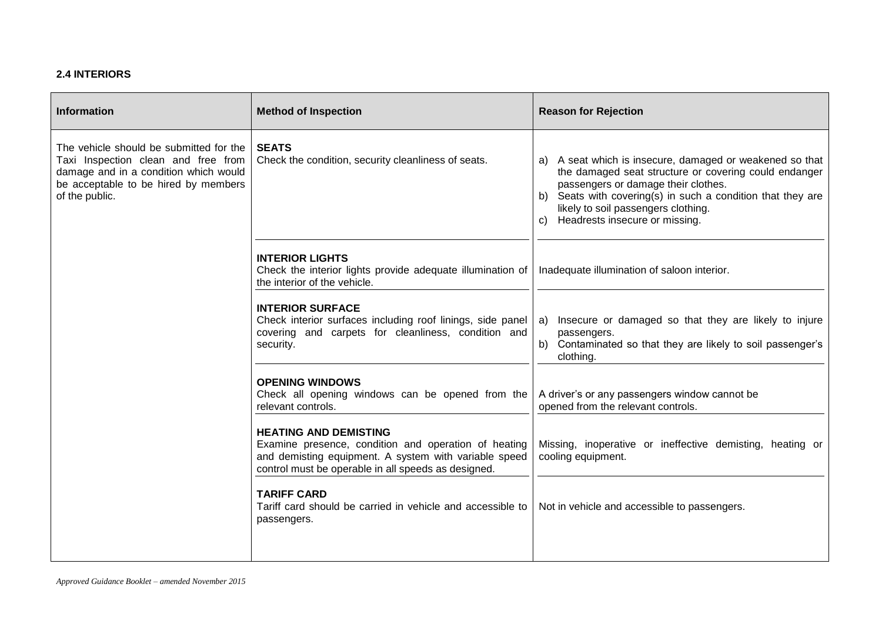#### **2.4 INTERIORS**

| <b>Information</b>                                                                                                                                                                | <b>Method of Inspection</b>                                                                                                                                                                          | <b>Reason for Rejection</b>                                                                                                                                                                                                                                                                            |
|-----------------------------------------------------------------------------------------------------------------------------------------------------------------------------------|------------------------------------------------------------------------------------------------------------------------------------------------------------------------------------------------------|--------------------------------------------------------------------------------------------------------------------------------------------------------------------------------------------------------------------------------------------------------------------------------------------------------|
| The vehicle should be submitted for the<br>Taxi Inspection clean and free from<br>damage and in a condition which would<br>be acceptable to be hired by members<br>of the public. | <b>SEATS</b><br>Check the condition, security cleanliness of seats.                                                                                                                                  | a) A seat which is insecure, damaged or weakened so that<br>the damaged seat structure or covering could endanger<br>passengers or damage their clothes.<br>b) Seats with covering(s) in such a condition that they are<br>likely to soil passengers clothing.<br>Headrests insecure or missing.<br>C) |
|                                                                                                                                                                                   | <b>INTERIOR LIGHTS</b><br>Check the interior lights provide adequate illumination of<br>the interior of the vehicle.                                                                                 | Inadequate illumination of saloon interior.                                                                                                                                                                                                                                                            |
|                                                                                                                                                                                   | <b>INTERIOR SURFACE</b><br>Check interior surfaces including roof linings, side panel<br>covering and carpets for cleanliness, condition and<br>security.                                            | Insecure or damaged so that they are likely to injure<br>a)<br>passengers.<br>Contaminated so that they are likely to soil passenger's<br>b)<br>clothing.                                                                                                                                              |
|                                                                                                                                                                                   | <b>OPENING WINDOWS</b><br>Check all opening windows can be opened from the<br>relevant controls.                                                                                                     | A driver's or any passengers window cannot be<br>opened from the relevant controls.                                                                                                                                                                                                                    |
|                                                                                                                                                                                   | <b>HEATING AND DEMISTING</b><br>Examine presence, condition and operation of heating<br>and demisting equipment. A system with variable speed<br>control must be operable in all speeds as designed. | Missing, inoperative or ineffective demisting, heating or<br>cooling equipment.                                                                                                                                                                                                                        |
|                                                                                                                                                                                   | <b>TARIFF CARD</b><br>Tariff card should be carried in vehicle and accessible to<br>passengers.                                                                                                      | Not in vehicle and accessible to passengers.                                                                                                                                                                                                                                                           |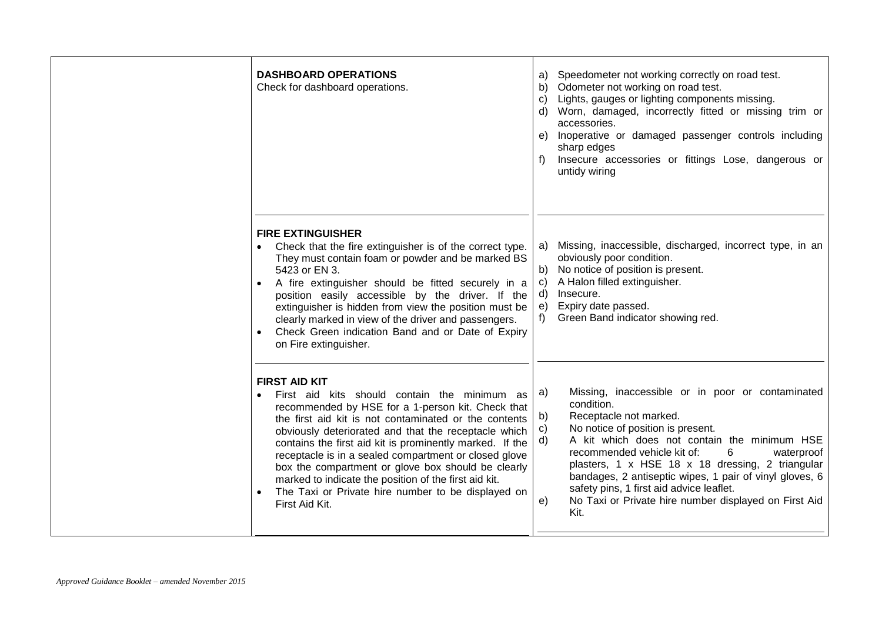| <b>DASHBOARD OPERATIONS</b><br>Check for dashboard operations.                                                                                                                                                                                                                                                                                                                                                                                                                                                                                         | Speedometer not working correctly on road test.<br>a)<br>b) Odometer not working on road test.<br>c) Lights, gauges or lighting components missing.<br>d) Worn, damaged, incorrectly fitted or missing trim or<br>accessories.<br>Inoperative or damaged passenger controls including<br>e)<br>sharp edges<br>Insecure accessories or fittings Lose, dangerous or<br>f)<br>untidy wiring                                                                                                             |
|--------------------------------------------------------------------------------------------------------------------------------------------------------------------------------------------------------------------------------------------------------------------------------------------------------------------------------------------------------------------------------------------------------------------------------------------------------------------------------------------------------------------------------------------------------|------------------------------------------------------------------------------------------------------------------------------------------------------------------------------------------------------------------------------------------------------------------------------------------------------------------------------------------------------------------------------------------------------------------------------------------------------------------------------------------------------|
| <b>FIRE EXTINGUISHER</b><br>Check that the fire extinguisher is of the correct type.<br>They must contain foam or powder and be marked BS<br>5423 or EN 3.<br>A fire extinguisher should be fitted securely in a<br>position easily accessible by the driver. If the<br>extinguisher is hidden from view the position must be<br>clearly marked in view of the driver and passengers.<br>Check Green indication Band and or Date of Expiry<br>on Fire extinguisher.                                                                                    | Missing, inaccessible, discharged, incorrect type, in an<br>a)<br>obviously poor condition.<br>No notice of position is present.<br>b)<br>A Halon filled extinguisher.<br>C)<br>Insecure.<br>d)<br>Expiry date passed.<br>e)<br>Green Band indicator showing red.<br>$f$ )                                                                                                                                                                                                                           |
| <b>FIRST AID KIT</b><br>First aid kits should contain the minimum as<br>recommended by HSE for a 1-person kit. Check that<br>the first aid kit is not contaminated or the contents<br>obviously deteriorated and that the receptacle which<br>contains the first aid kit is prominently marked. If the<br>receptacle is in a sealed compartment or closed glove<br>box the compartment or glove box should be clearly<br>marked to indicate the position of the first aid kit.<br>The Taxi or Private hire number to be displayed on<br>First Aid Kit. | Missing, inaccessible or in poor or contaminated<br>a)<br>condition.<br>Receptacle not marked.<br>b)<br>No notice of position is present.<br>$\mathsf{c})$<br>A kit which does not contain the minimum HSE<br>d)<br>recommended vehicle kit of:<br>6<br>waterproof<br>plasters, 1 x HSE 18 x 18 dressing, 2 triangular<br>bandages, 2 antiseptic wipes, 1 pair of vinyl gloves, 6<br>safety pins, 1 first aid advice leaflet.<br>No Taxi or Private hire number displayed on First Aid<br>e)<br>Kit. |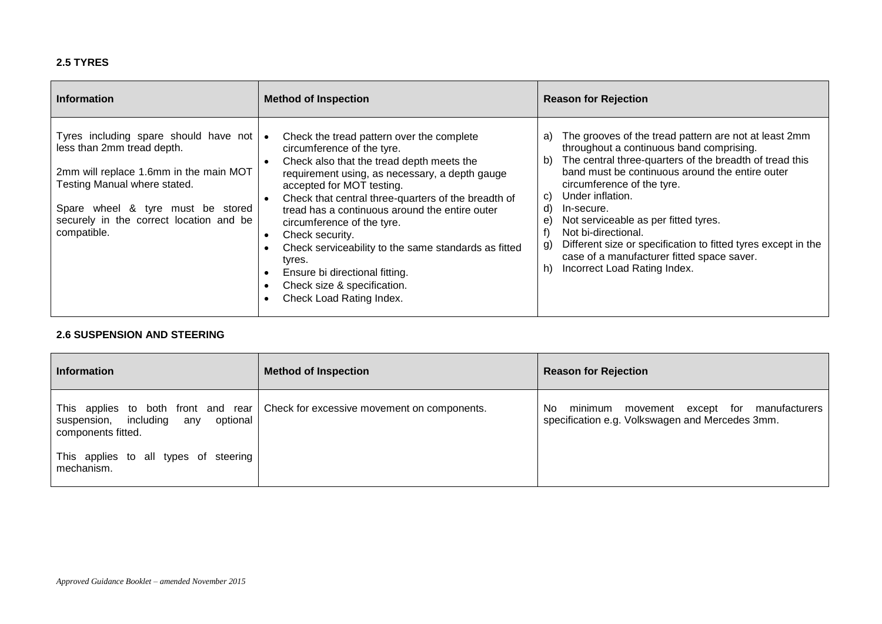#### **2.5 TYRES**

| <b>Information</b>                                                                                                                                                                                                                               | <b>Method of Inspection</b>                                                                                                                                                                                                                                                                                                                                                                                                                                                                                                  | <b>Reason for Rejection</b>                                                                                                                                                                                                                                                                                                                                                                                                                                                                                                             |
|--------------------------------------------------------------------------------------------------------------------------------------------------------------------------------------------------------------------------------------------------|------------------------------------------------------------------------------------------------------------------------------------------------------------------------------------------------------------------------------------------------------------------------------------------------------------------------------------------------------------------------------------------------------------------------------------------------------------------------------------------------------------------------------|-----------------------------------------------------------------------------------------------------------------------------------------------------------------------------------------------------------------------------------------------------------------------------------------------------------------------------------------------------------------------------------------------------------------------------------------------------------------------------------------------------------------------------------------|
| Tyres including spare should have not   •<br>less than 2mm tread depth.<br>2mm will replace 1.6mm in the main MOT<br>Testing Manual where stated.<br>Spare wheel & tyre must be stored<br>securely in the correct location and be<br>compatible. | Check the tread pattern over the complete<br>circumference of the tyre.<br>Check also that the tread depth meets the<br>requirement using, as necessary, a depth gauge<br>accepted for MOT testing.<br>Check that central three-quarters of the breadth of<br>tread has a continuous around the entire outer<br>circumference of the tyre.<br>Check security.<br>Check serviceability to the same standards as fitted<br>tyres.<br>Ensure bi directional fitting.<br>Check size & specification.<br>Check Load Rating Index. | The grooves of the tread pattern are not at least 2mm<br>a)<br>throughout a continuous band comprising.<br>The central three-quarters of the breadth of tread this<br>b)<br>band must be continuous around the entire outer<br>circumference of the tyre.<br>Under inflation.<br>C)<br>d)<br>In-secure.<br>Not serviceable as per fitted tyres.<br>e)<br>Not bi-directional.<br>Different size or specification to fitted tyres except in the<br>g)<br>case of a manufacturer fitted space saver.<br>Incorrect Load Rating Index.<br>h) |

#### **2.6 SUSPENSION AND STEERING**

| <b>Information</b>                                          | <b>Method of Inspection</b>                                                     | <b>Reason for Rejection</b>                                                                         |
|-------------------------------------------------------------|---------------------------------------------------------------------------------|-----------------------------------------------------------------------------------------------------|
| suspension, including any<br>optional<br>components fitted. | This applies to both front and rear Check for excessive movement on components. | minimum movement except for manufacturers<br>No.<br>specification e.g. Volkswagen and Mercedes 3mm. |
| This applies to all types of steering<br>mechanism.         |                                                                                 |                                                                                                     |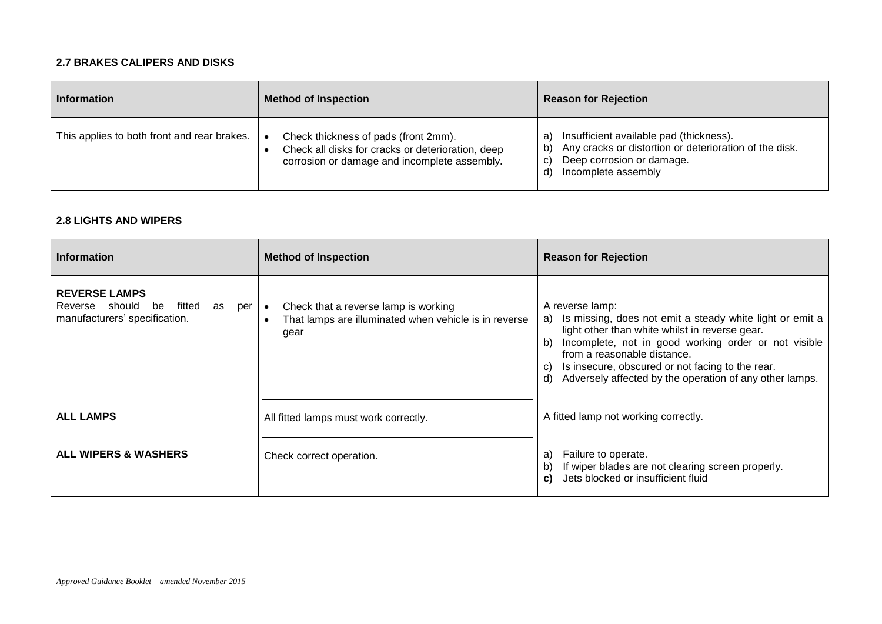#### **2.7 BRAKES CALIPERS AND DISKS**

| <b>Information</b>                          | <b>Method of Inspection</b>                                                                                                               | <b>Reason for Rejection</b>                                                                                                                                                           |
|---------------------------------------------|-------------------------------------------------------------------------------------------------------------------------------------------|---------------------------------------------------------------------------------------------------------------------------------------------------------------------------------------|
| This applies to both front and rear brakes. | Check thickness of pads (front 2mm).<br>Check all disks for cracks or deterioration, deep<br>corrosion or damage and incomplete assembly. | Insufficient available pad (thickness).<br>a<br>Any cracks or distortion or deterioration of the disk.<br>$\mathsf{b}$<br>Deep corrosion or damage.<br>C)<br>Incomplete assembly<br>ď |

#### **2.8 LIGHTS AND WIPERS**

| <b>Information</b>                                                                                       | <b>Method of Inspection</b>                                                                           | <b>Reason for Rejection</b>                                                                                                                                                                                                                                                                                                                                 |
|----------------------------------------------------------------------------------------------------------|-------------------------------------------------------------------------------------------------------|-------------------------------------------------------------------------------------------------------------------------------------------------------------------------------------------------------------------------------------------------------------------------------------------------------------------------------------------------------------|
| <b>REVERSE LAMPS</b><br>Reverse should<br>be<br>fitted<br>as<br>per   •<br>manufacturers' specification. | Check that a reverse lamp is working<br>That lamps are illuminated when vehicle is in reverse<br>gear | A reverse lamp:<br>Is missing, does not emit a steady white light or emit a<br>a)<br>light other than white whilst in reverse gear.<br>Incomplete, not in good working order or not visible<br>b)<br>from a reasonable distance.<br>Is insecure, obscured or not facing to the rear.<br>C)<br>Adversely affected by the operation of any other lamps.<br>d) |
| <b>ALL LAMPS</b>                                                                                         | All fitted lamps must work correctly.                                                                 | A fitted lamp not working correctly.                                                                                                                                                                                                                                                                                                                        |
| <b>ALL WIPERS &amp; WASHERS</b>                                                                          | Check correct operation.                                                                              | Failure to operate.<br>a)<br>If wiper blades are not clearing screen properly.<br>b)<br>Jets blocked or insufficient fluid<br>C)                                                                                                                                                                                                                            |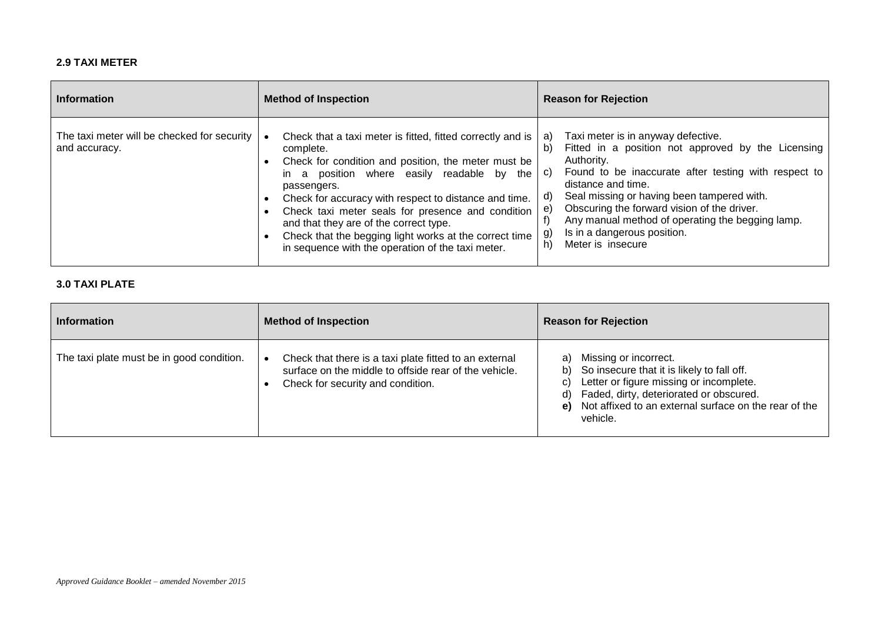#### **2.9 TAXI METER**

| Information                                                  | <b>Method of Inspection</b>                                                                                                                                                                                                                                                                                                                                                                                                                                        | <b>Reason for Rejection</b>                                                                                                                                                                                                                                                                                                                                                                                                   |
|--------------------------------------------------------------|--------------------------------------------------------------------------------------------------------------------------------------------------------------------------------------------------------------------------------------------------------------------------------------------------------------------------------------------------------------------------------------------------------------------------------------------------------------------|-------------------------------------------------------------------------------------------------------------------------------------------------------------------------------------------------------------------------------------------------------------------------------------------------------------------------------------------------------------------------------------------------------------------------------|
| The taxi meter will be checked for security<br>and accuracy. | Check that a taxi meter is fitted, fitted correctly and is<br>complete.<br>Check for condition and position, the meter must be<br>in a position where easily readable by the<br>passengers.<br>Check for accuracy with respect to distance and time.<br>Check taxi meter seals for presence and condition<br>and that they are of the correct type.<br>Check that the begging light works at the correct time<br>in sequence with the operation of the taxi meter. | Taxi meter is in anyway defective.<br>a)<br>Fitted in a position not approved by the Licensing<br>b)<br>Authority.<br>Found to be inaccurate after testing with respect to<br>C)<br>distance and time.<br>Seal missing or having been tampered with.<br>d)<br>Obscuring the forward vision of the driver.<br>e.<br>Any manual method of operating the begging lamp.<br>Is in a dangerous position.<br>Meter is insecure<br>h) |

#### **3.0 TAXI PLATE**

| <b>Information</b>                        | <b>Method of Inspection</b>                                                                                                                          | <b>Reason for Rejection</b>                                                                                                                                                                                                                                  |
|-------------------------------------------|------------------------------------------------------------------------------------------------------------------------------------------------------|--------------------------------------------------------------------------------------------------------------------------------------------------------------------------------------------------------------------------------------------------------------|
| The taxi plate must be in good condition. | Check that there is a taxi plate fitted to an external<br>surface on the middle to offside rear of the vehicle.<br>Check for security and condition. | Missing or incorrect.<br>a)<br>So insecure that it is likely to fall off.<br>b)<br>Letter or figure missing or incomplete.<br>C)<br>Faded, dirty, deteriorated or obscured.<br>d)<br>Not affixed to an external surface on the rear of the<br>e)<br>vehicle. |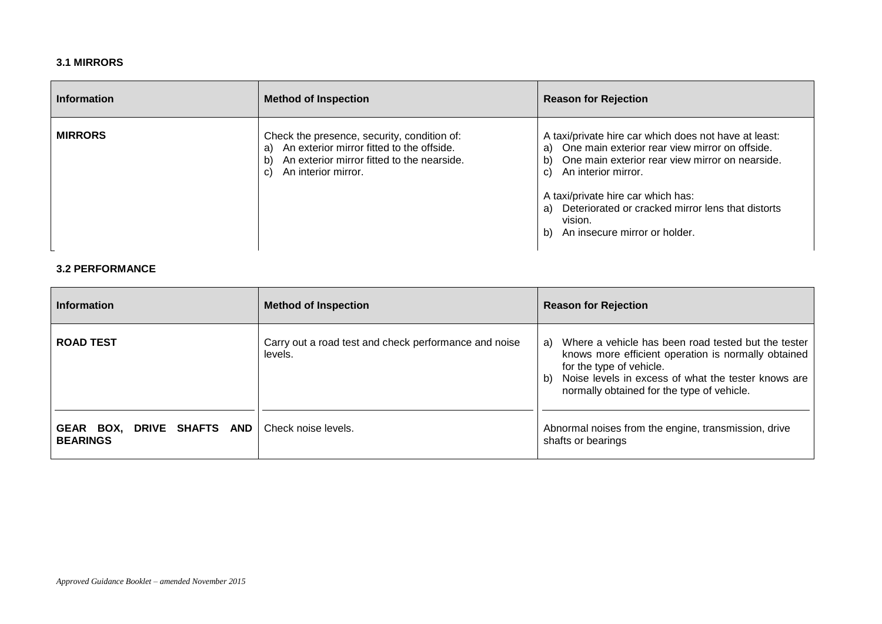#### **3.1 MIRRORS**

| <b>Information</b> | <b>Method of Inspection</b>                                                                                                                                                     | <b>Reason for Rejection</b>                                                                                                                                                                                                                                                                                                                      |
|--------------------|---------------------------------------------------------------------------------------------------------------------------------------------------------------------------------|--------------------------------------------------------------------------------------------------------------------------------------------------------------------------------------------------------------------------------------------------------------------------------------------------------------------------------------------------|
| <b>MIRRORS</b>     | Check the presence, security, condition of:<br>An exterior mirror fitted to the offside.<br>a)<br>An exterior mirror fitted to the nearside.<br>b)<br>An interior mirror.<br>C) | A taxi/private hire car which does not have at least:<br>One main exterior rear view mirror on offside.<br>a)<br>One main exterior rear view mirror on nearside.<br>b)<br>An interior mirror.<br>C)<br>A taxi/private hire car which has:<br>Deteriorated or cracked mirror lens that distorts<br>a)<br>vision.<br>An insecure mirror or holder. |

#### **3.2 PERFORMANCE**

| <b>Information</b>                            | <b>Method of Inspection</b>                                      | <b>Reason for Rejection</b>                                                                                                                                                                                                                             |
|-----------------------------------------------|------------------------------------------------------------------|---------------------------------------------------------------------------------------------------------------------------------------------------------------------------------------------------------------------------------------------------------|
| <b>ROAD TEST</b>                              | Carry out a road test and check performance and noise<br>levels. | Where a vehicle has been road tested but the tester<br>a)<br>knows more efficient operation is normally obtained<br>for the type of vehicle.<br>Noise levels in excess of what the tester knows are<br>b)<br>normally obtained for the type of vehicle. |
| GEAR BOX, DRIVE SHAFTS AND<br><b>BEARINGS</b> | Check noise levels.                                              | Abnormal noises from the engine, transmission, drive<br>shafts or bearings                                                                                                                                                                              |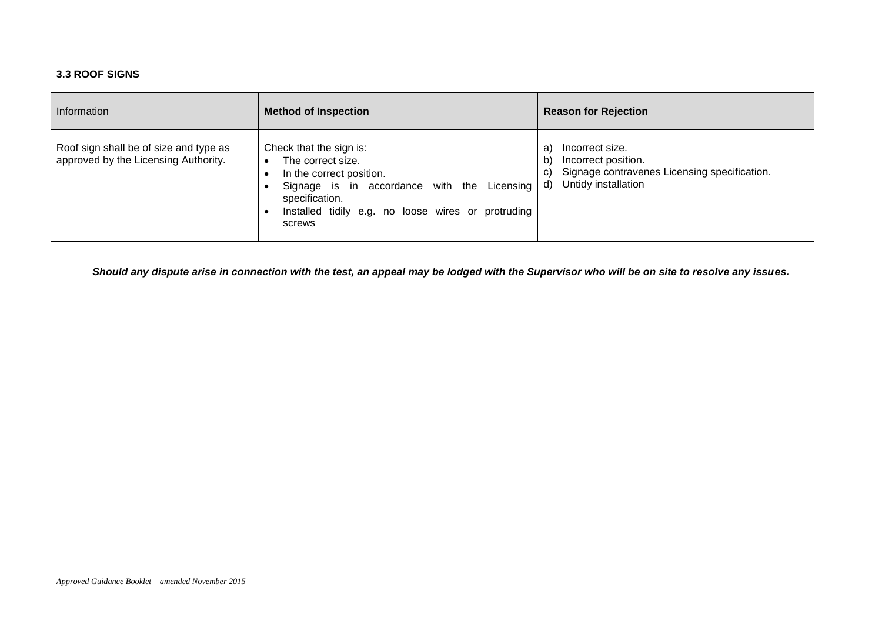#### **3.3 ROOF SIGNS**

| Information                                                                    | <b>Method of Inspection</b>                                                                                                                                                                                            | <b>Reason for Rejection</b>                                                                                                    |
|--------------------------------------------------------------------------------|------------------------------------------------------------------------------------------------------------------------------------------------------------------------------------------------------------------------|--------------------------------------------------------------------------------------------------------------------------------|
| Roof sign shall be of size and type as<br>approved by the Licensing Authority. | Check that the sign is:<br>The correct size.<br>$\bullet$<br>In the correct position.<br>Signage is in accordance with the Licensing<br>specification.<br>Installed tidily e.g. no loose wires or protruding<br>screws | Incorrect size.<br>a<br>Incorrect position.<br>Signage contravenes Licensing specification.<br>C)<br>Untidy installation<br>d) |

*Should any dispute arise in connection with the test, an appeal may be lodged with the Supervisor who will be on site to resolve any issues.*